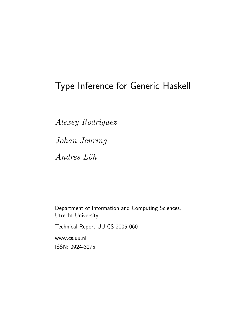# Type Inference for Generic Haskell

Alexey Rodriguez Johan Jeuring  $Andres$  Löh

Department of Information and Computing Sciences, Utrecht University

Technical Report UU-CS-2005-060

www.cs.uu.nl ISSN: 0924-3275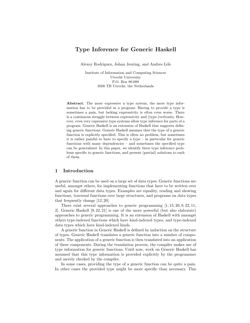## Type Inference for Generic Haskell

Alexey Rodriguez, Johan Jeuring, and Andres Löh

Institute of Information and Computing Sciences Utrecht University P.O. Box 80.089 3508 TB Utrecht, the Netherlands

Abstract. The more expressive a type system, the more type information has to be provided in a program. Having to provide a type is sometimes a pain, but lacking expressivity is often even worse. There is a continuous struggle between expressivity and (type-)verbosity. However, even very expressive type systems allow type inference for parts of a program. Generic Haskell is an extension of Haskell that supports defining generic functions. Generic Haskell assumes that the type of a generic function is explicitly specified. This is often no problem, but sometimes it is rather painful to have to specify a type – in particular for generic functions with many dependencies – and sometimes the specified type can be generalized. In this paper, we identify three type inference problems specific to generic functions, and present (partial) solutions to each of them.

## 1 Introduction

A generic function can be used on a large set of data types. Generic functions are useful, amongst others, for implementing functions that have to be written over and again for different data types. Examples are equality, reading and showing functions, traversal functions over large structures, and programs on data types that frequently change [12, 20].

There exist several approaches to generic programming  $[1, 15, 20, 9, 22, 11,$ 2]. Generic Haskell [9, 22, 21] is one of the more powerful (but also elaborate) approaches to generic programming. It is an extension of Haskell with amongst others type-indexed functions which have kind-indexed types, and type-indexed data types which have kind-indexed kinds.

A generic function in Generic Haskell is defined by induction on the structure of types. Generic Haskell translates a generic function into a number of components. The application of a generic function is then translated into an application of these components. During the translation process, the compiler makes use of type information for generic functions. Until now, work on Generic Haskell has assumed that this type information is provided explicitly by the programmer and merely checked by the compiler.

In some cases, providing the type of a generic function can be quite a pain. In other cases the provided type might be more specific than necessary. This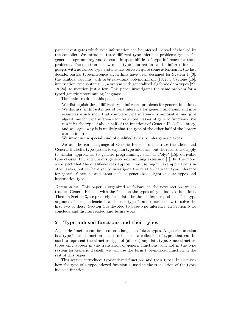paper investigates which type information can be inferred instead of checked by the compiler. We introduce three different type inference problems typical for generic programming, and discuss (im)possibilities of type inference for these problems. The question of how much type information can be inferred for languages with advanced type systems has received quite some attention in the last decade: partial type-inference algorithms have been designed for System F [3], the lambda calculus with arbitrary-rank polymorphism [18, 25], Cyclone [16], intersection type systems [5], a system with generalized algebraic data types [27, 19, 24], to mention just a few. This paper investigates the same problem for a typed generic programming language.

The main results of this paper are:

- We distinguish three different type-inference problems for generic functions.
- We discuss (im)possibilities of type inference for generic functions, and give examples which show that complete type inference is impossible, and give algorithms for type inference for restricted classes of generic functions. We can infer the type of about half of the functions of Generic Haskell's library, and we argue why it is unlikely that the type of the other half of the library can be inferred.
- We introduce a special kind of qualified types to infer generic types.

We use the core language of Generic Haskell to illustrate the ideas, and Generic Haskell's type system to explain type inference, but the results also apply to similar approaches to generic programming, such as PolyP [15], derivable type classes [14], and Clean's generic-programming extension [1]. Furthermore, we expect that the qualified-types approach we use might have applications in other areas, but we have yet to investigate the relation between type inference for generic functions and areas such as generalized algebraic data types and intersection types.

Organization. This paper is organized as follows: in the next section, we introduce Generic Haskell, with the focus on the types of type-indexed functions. Then, in Section 3, we precisely formulate the three inference problems for "type arguments", "dependencies", and "base types", and describe how to solve the first two of these. Section 4 is devoted to base-type inference. In Section 5 we conclude and discuss related and future work.

## 2 Type-indexed functions and their types

A generic function can be used on a large set of data types. A generic function is a type-indexed function that is defined on a collection of types that can be used to represent the structure type of (almost) any data type. Since structure types only appear in the translation of generic functions, and not in the type system for Generic Haskell, we will use the term type-indexed function in the rest of this paper.

This section introduces type-indexed functions and their types. It discusses how the type of a type-indexed function is used in the translation of the typeindexed function.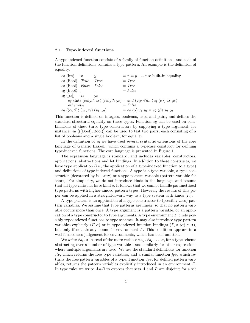#### 2.1 Type-indexed functions

A type-indexed function consists of a family of function definitions, and each of the function definitions contains a type pattern. An example is the definition of equality:

| $eq \langle \text{Int} \rangle x$                          |                  |           | $x = y$ -- use built-in equality                                                                               |
|------------------------------------------------------------|------------------|-----------|----------------------------------------------------------------------------------------------------------------|
| $eq \langle \text{Bool} \rangle$ True                      | True             | $= True$  |                                                                                                                |
| $eq \langle \text{Bool} \rangle$ False False               |                  | $= True$  |                                                                                                                |
| $eq \langle \text{Bool} \rangle$ _                         |                  | $= False$ |                                                                                                                |
| $eq\langle [\alpha]\rangle$ xs                             | $\overline{u}$ s |           |                                                                                                                |
|                                                            |                  |           | $\mid$ eq $\langle$ Int $\rangle$ (length xs) (length ys) = and (zipWith (eq $\langle \alpha \rangle$ ) xs ys) |
| $\vert$ otherwise                                          |                  | $= False$ |                                                                                                                |
| $eq \langle (\alpha, \beta) \rangle (x_1, x_2) (y_1, y_2)$ |                  |           | $=eq \langle \alpha \rangle x_1 y_1 \wedge eq \langle \beta \rangle x_2 y_2$                                   |

This function is defined on integers, booleans, lists, and pairs, and defines the standard structural equality on these types. Function eq can be used on combinations of these three type constructors by supplying a type argument, for instance, eq  $\langle$  [[Bool], Bool]) can be used to test two pairs, each consisting of a list of booleans and a single boolean, for equality.

In the definition of eq we have used several syntactic extensions of the core language of Generic Haskell, which contains a typecase construct for defining type-indexed functions. The core language is presented in Figure 1.

The expression language is standard, and includes variables, constructors, applications, abstractions and let bindings. In addition to these constructs, we have type application (i.e., the application of a type-indexed function to a type) and definitions of type-indexed functions. A type is a type variable, a type constructor (decorated by its arity) or a type pattern variable (pattern variable for short). For simplicity, we do not introduce kinds in the language, and assume that all type variables have kind  $\star$ . It follows that we cannot handle parametrized type patterns with higher-kinded pattern types. However, the results of this paper can be applied in a straightforward way to a type system with kinds [23].

A type pattern is an application of a type constructor to (possibly zero) pattern variables. We assume that type patterns are linear, so that no pattern variable occurs more than once. A type argument is a pattern variable, or an application of a type constructor to type arguments. A type environment  $\Gamma$  binds possibly type-indexed functions to type schemes. It may also introduce type pattern variables explicitly  $(\Gamma, \alpha)$  or in type-indexed function bindings  $(\Gamma, x \langle \alpha \rangle : \sigma)$ , but only if not already bound in environment  $\Gamma$ . This condition appears in a well-formedness judgement for environments, which has been omitted.

We write  $\forall \overline{a_i} \cdot \sigma$  instead of the more verbose  $\forall a_1 \cdot \forall a_2 \cdot \ldots \sigma$ , for a type scheme abstracting over a number of type variables, and similarly for other expressions where multiple arguments are used. We use the standard definitions for function ftv, which returns the free type variables, and a similar function  $fpv$ , which returns the free pattern variables of a type. Function  $\text{d}pv$ , for defined pattern variables, returns the pattern variables explicitly introduced in an environment Γ. In type rules we write  $A \# B$  to express that sets A and B are disjoint; for a set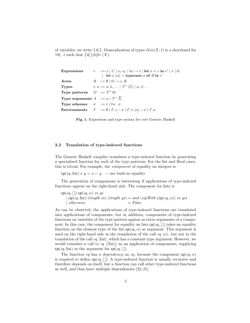of variables, we write  $\{\overline{a_i}\}\.$  Generalization of types  $Gen(X; t)$  is a shorthand for  $\forall \overline{a_i} \cdot t$  such that  $\{\overline{a_i}\}\# \textit{ftv}(X)$ .

| Expressions                                                 | $e$ : $x = x \mid C \mid e_1 \mid e_2 \mid \lambda x \rightarrow e \mid \text{let } x = e \text{ in } e' \mid x \mid A$<br>  let $x \langle \alpha \rangle$ = typecase $\alpha$ of R in $e'$ |
|-------------------------------------------------------------|----------------------------------------------------------------------------------------------------------------------------------------------------------------------------------------------|
| Arms                                                        | $R$ ::= $\emptyset$   $\Omega \rightarrow e$ , R                                                                                                                                             |
| <b>Types</b>                                                | $t, u ::= a, b, \ldots   T^n (t_i)   \alpha, \beta, \ldots$                                                                                                                                  |
| <b>Type patterns</b> $\Omega := T^n \overline{\alpha_i}$    |                                                                                                                                                                                              |
| <b>Type arguments</b> $A ::= \alpha   T^n A_i$              |                                                                                                                                                                                              |
| <b>Type schemes</b> $\sigma ::= t   \forall a \cdot \sigma$ |                                                                                                                                                                                              |
|                                                             | <b>Environments</b> $\Gamma$ ::= $\emptyset$   $\Gamma$ , $x$ :: $\sigma$   $\Gamma$ , $x \langle \alpha \rangle$ :: $\sigma$   $\Gamma$ , $\alpha$                                          |

Fig. 1. Expression and type syntax for core Generic Haskell

#### 2.2 Translation of type-indexed functions

The Generic Haskell compiler translates a type-indexed function by generating a specialized function for each of the type patterns. For the Int and Bool cases, this is trivial. For example, the component of equality on integers is

 $\textsf{cp}(eq, \text{Int}) \ x \ y = x = y$  -- use built-in equality

The generation of components is interesting if applications of type-indexed functions appear on the right-hand side. The component for lists is

```
cp(eq, [] cp(eq, \alpha) xs ys
    | \operatorname{cp}(eq, \operatorname{Int}) (length \, xs) (length \, ys) = and (zip With (\operatorname{cp}(eq, \alpha)) \, xs \, ys)\downarrow otherwise = False
```
As can be observed, the applications of type-indexed functions are translated into applications of components, but in addition, components of type-indexed functions on variables of the type pattern appear as extra arguments of a component. In this case, the component for equality on lists  $cp(eq, []$  takes an equality function on the element type of the list  $cp(eq, \alpha)$  as argument. This argument is used on the right-hand side in the translation of the call eq  $\langle \alpha \rangle$ , but not in the translation of the call  $eq \langle Int \rangle$ , which has a constant type argument. However, we would translate a call to  $eq \langle \vert \text{Int} \vert \rangle$  as an application of components, supplying  $cp(eq, Int)$  as the argument for  $cp(eq, []$ .

The function eq has a dependency on eq, because the component  $cp(eq, \alpha)$ is required to define  $cp(eq, []$ . A type-indexed function is usually recursive and therefore depends on itself, but a function can call other type-indexed functions as well, and thus have multiple dependencies [22, 21].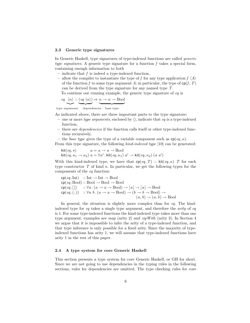#### 2.3 Generic type signatures

In Generic Haskell, type signatures of type-indexed functions are called generic type signatures. A generic type signature for a function  $f$  takes a special form, containing enough information to both

- $-$  indicate that  $f$  is indeed a type-indexed function,
- allow the compiler to instantiate the type of f for any type application  $f(\Lambda)$ of the function f to some type argument A; in particular, the type of  $\textsf{cp}(f, T)$ can be derived from the type signature for any named type T.

To continue our running example, the generic type signature of eq is

$$
\textit{eq} \ \ \underbrace{\langle \alpha \rangle \ :: \ (\textit{eq} \ \langle \alpha \rangle)} \Rightarrow \underbrace{\alpha \to \alpha \to \text{Bool}}
$$

type arguments dependencies base type

As indicated above, there are three important parts to the type signature:

- one or more type arguments, enclosed by  $\langle \rangle$ , indicate that eq is a type-indexed function,
- there are dependencies if the function calls itself or other type-indexed functions recursively,
- the base type gives the type of a variable component such as  $cp(eq, \alpha)$ .

From this type signature, the following *kind-indexed type* [10] can be generated:

$$
kit(eq, \star) \qquad a = a \rightarrow a \rightarrow \text{Bool}
$$
\n
$$
kit(eq, \kappa_1 \rightarrow \kappa_2) \ a = \forall a' . kit(eq, \kappa_1) \ a' \rightarrow kit(eq, \kappa_2) \ (a \ a')
$$

With this kind-indexed type, we have that  $cp(eq, T)$  :: kit $(eq, \kappa)$  T for each type constructor T of kind  $\kappa$ . In particular, we get the following types for the components of the eq function:

$$
cp(eq, Int) :: Int \rightarrow Int \rightarrow Bool
$$
  
\n
$$
cp(eq, Bool) :: Bool \rightarrow Bool \rightarrow Bool
$$
  
\n
$$
cp(eq, []) :: \forall a . (a \rightarrow a \rightarrow Bool) \rightarrow [a] \rightarrow [a] \rightarrow Bool
$$
  
\n
$$
cp(eq, (,)) :: \forall a b . (a \rightarrow a \rightarrow Bool) \rightarrow (b \rightarrow b \rightarrow Bool) \rightarrow
$$
  
\n
$$
(a, b) \rightarrow (a, b) \rightarrow Bool
$$

In general, the situation is slightly more complex than for eq. The kindindexed type for eq takes a single type argument, and therefore the arity of eq is 1. For some type-indexed functions the kind-indexed type takes more than one type argument, examples are map (arity 2) and  $zipWith$  (arity 3). In Section 4 we argue that it is impossible to infer the arity of a type-indexed function, and that type inference is only possible for a fixed arity. Since the majority of typeindexed functions has arity 1, we will assume that type-indexed functions have arity 1 in the rest of this paper.

#### 2.4 A type system for core Generic Haskell

This section presents a type system for core Generic Haskell, or GH for short. Since we are not going to use dependencies in the typing rules in the following sections, rules for dependencies are omitted. The type checking rules for core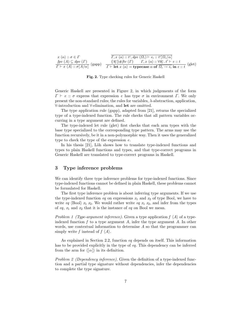$$
x \langle \alpha \rangle :: \sigma \in \Gamma
$$
  
\n
$$
\frac{f p v (A) \subseteq d p v (\Gamma)}{\Gamma \vdash x \langle A \rangle :: \sigma[A/\alpha]} \text{ (gapp)} \quad \frac{\overline{\{a_j\}} \# f t v (\Gamma) \quad \Gamma, x \langle \alpha \rangle :: \forall \overline{a_j} . t' \vdash e :: t}{\Gamma \vdash \text{let } x \langle \alpha \rangle = \text{typecase } \alpha \text{ of } \overline{\Omega_i \rightarrow e_i} \text{ in } e :: t} \text{ (glet)}
$$

Fig. 2. Type checking rules for Generic Haskell

Generic Haskell are presented in Figure 2, in which judgements of the form  $\Gamma \vdash e :: \sigma$  express that expression e has type  $\sigma$  in environment  $\Gamma$ . We only present the non-standard rules; the rules for variables, λ-abstraction, application, ∀-introduction and ∀-elimination, and let are omitted.

The type application rule (gapp), adapted from [21], returns the specialized type of a type-indexed function. The rule checks that all pattern variables occurring in a type argument are defined.

The type-indexed let rule (glet) first checks that each arm types with the base type specialized to the corresponding type pattern. The arms may use the function recursively, be it in a non-polymorphic way. Then it uses the generalized type to check the type of the expression e.

In his thesis [21], Löh shows how to translate type-indexed functions and types to plain Haskell functions and types, and that type-correct programs in Generic Haskell are translated to type-correct programs in Haskell.

## 3 Type inference problems

We can identify three type inference problems for type-indexed functions. Since type-indexed functions cannot be defined in plain Haskell, these problems cannot be formulated for Haskell.

The first type inference problem is about inferring type arguments. If we use the type-indexed function eq on expressions  $x_1$  and  $x_2$  of type Bool, we have to write eq  $\langle$ Bool $\rangle$   $x_1$   $x_2$ . We would rather write eq  $x_1$   $x_2$ , and infer from the types of eq,  $x_1$  and  $x_2$  that it is the instance of eq on Bool we mean.

Problem 1 (Type-argument inference). Given a type application  $f \langle A \rangle$  of a typeindexed function f to a type argument A, infer the type argument  $A$ . In other words, use contextual information to determine A so that the programmer can simply write f instead of  $f(A)$ .

As explained in Section 2.2, function eq depends on itself. This information has to be provided explicitly in the type of eq. This dependency can be inferred from the arm for  $\langle \alpha | \rangle$  in its definition.

Problem 2 (Dependency inference). Given the definition of a type-indexed function and a partial type signature without dependencies, infer the dependencies to complete the type signature.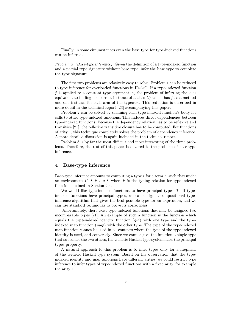Finally, in some circumstances even the base type for type-indexed functions can be inferred.

Problem 3 (Base-type inference). Given the definition of a type-indexed function and a partial type signature without base type, infer the base type to complete the type signature.

The first two problems are relatively easy to solve. Problem 1 can be reduced to type inference for overloaded functions in Haskell. If a type-indexed function f is applied to a constant type argument  $A$ , the problem of inferring the  $A$  is equivalent to finding the correct instance of a class  $C_f$  which has f as a method and one instance for each arm of the typecase. This reduction is described in more detail in the technical report [23] accompanying this paper.

Problem 2 can be solved by scanning each type-indexed function's body for calls to other type-indexed functions. This induces direct dependencies between type-indexed functions. Because the dependency relation has to be reflexive and transitive [21], the reflexive transitive closure has to be computed. For functions of arity 1, this technique completely solves the problem of dependency inference. A more detailed discussion is again included in the technical report.

Problem 3 is by far the most difficult and most interesting of the three problems. Therefore, the rest of this paper is devoted to the problem of base-type inference.

#### 4 Base-type inference

Base-type inference amounts to computing a type  $t$  for a term  $e$ , such that under an environment  $\Gamma$ ,  $\Gamma \vdash e :: t$ , where  $\vdash$  is the typing relation for type-indexed functions defined in Section 2.4.

We would like type-indexed functions to have principal types [7]. If typeindexed functions have principal types, we can design a compositional typeinference algorithm that gives the best possible type for an expression, and we can use standard techniques to prove its correctness.

Unfortunately, there exist type-indexed functions that may be assigned two incomparable types [21]. An example of such a function is the function which equals the type-indexed identity function  $(gid)$  with one type and the typeindexed map function  $(map)$  with the other type. The type of the type-indexed map function cannot be used in all contexts where the type of the type-indexed identity is used, and conversely. Since we cannot give the function a single type that subsumes the two others, the Generic Haskell type system lacks the principal types property.

A natural approach to this problem is to infer types only for a fragment of the Generic Haskell type system. Based on the observation that the typeindexed identity and map functions have different arities, we could restrict type inference to infer types of type-indexed functions with a fixed arity, for example the arity 1.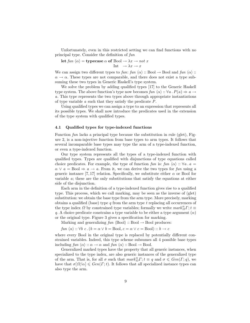Unfortunately, even in this restricted setting we can find functions with no principal type. Consider the definition of fun

let fun  $\langle \alpha \rangle$  = typecase  $\alpha$  of Bool  $\rightarrow \lambda x \rightarrow not \ x$ Int  $\rightarrow \lambda x \rightarrow x$ 

We can assign two different types to fun: fun  $\langle \alpha \rangle$  :: Bool  $\rightarrow$  Bool and fun  $\langle \alpha \rangle$  ::  $\alpha \rightarrow \alpha$ . These types are not comparable, and there does not exist a type subsuming these two types in Generic Haskell's type system.

We solve the problem by adding qualified types [17] to the Generic Haskell type system. The above function's type now becomes  $fun \langle \alpha \rangle :: \forall a \cdot P(a) \Rightarrow a \rightarrow$ a. This type represents the two types above through appropriate instantiations of type variable a such that they satisfy the predicate P.

Using qualified types we can assign a type to an expression that represents all its possible types. We shall now introduce the predicates used in the extension of the type system with qualified types.

## 4.1 Qualified types for type-indexed functions

Function fun lacks a principal type because the substitution in rule (glet), Figure 2, is a non-injective function from base types to arm types. It follows that several incomparable base types may type the arm of a type-indexed function, or even a type-indexed function.

Our type system represents all the types of a type-indexed function with qualified types. Types are qualified with disjunctions of type equations called choice predicates. For example, the type of function fun is: fun  $\langle \alpha \rangle$  ::  $\forall a \cdot a =$  $\alpha \vee a =$ Bool  $\Rightarrow a \rightarrow a$ . From it, we can derive the two types for fun using a generic instance [7, 17] relation. Specifically, we substitute either  $\alpha$  or Bool for variable a; these are the only substitutions that satisfy the equations at either side of the disjunction.

Each arm in the definition of a type-indexed function gives rise to a qualified type. This process, which we call marking, may be seen as the inverse of (glet) substitution: we obtain the base type from the arm type. More precisely, marking obtains a qualified (base) type  $q$  from the arm type  $t$  replacing all occurrences of the type index  $\Omega$  by constrained type variables; formally we write  $mark_{\Omega}^{\alpha}\Gamma$ ;  $t \equiv$ q. A choice predicate constrains a type variable to be either a type argument  $(\alpha)$ or the original type. Figure 3 gives a specification for marking.

Marking and generalizing  $fun \langle Bool \rangle : \text{Bool} \rightarrow \text{Bool}$  produces:

fun  $\langle \alpha \rangle$  ::  $\forall b \ c$ .  $(b = \alpha \lor b = \text{Bool}, c = \alpha \lor c = \text{Bool})$  ::  $b \to c$ 

where every Bool in the original type is replaced by potentially different constrained variables. Indeed, this type scheme subsumes all 4 possible base types including  $fun \langle \alpha \rangle : \alpha \to \alpha$  and  $fun \langle \alpha \rangle : \text{Bool} \to \text{Bool}.$ 

Generalized marked types have the property that all generic instances, when specialized to the type index, are also generic instances of the generalized type of the arm. That is, for all  $\sigma$  such that  $mark^{\alpha}_{\Omega} \Gamma$ ;  $t \equiv q$  and  $\sigma \leqslant Gen(\Gamma; q)$ , we have that  $\sigma[\Omega/\alpha] \leqslant Gen(\Gamma; t)$ . It follows that all specialized instance types can also type the arm.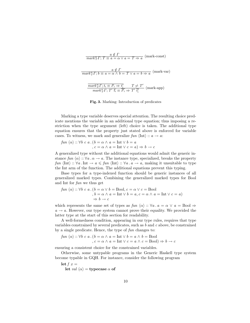| $\frac{a \notin \Gamma}{mark_T^{\alpha} \Gamma; T \equiv a = \alpha \vee a = T \Rightarrow a}$ (mark-const)                                                                                                                                         |
|-----------------------------------------------------------------------------------------------------------------------------------------------------------------------------------------------------------------------------------------------------|
| $\frac{a \notin \Gamma}{\text{mark}^{\alpha}_{T} \Gamma; b \equiv a = \alpha \land b = T \lor a = b \Rightarrow a}$ (mark-var)                                                                                                                      |
| $\frac{mark_T^{\alpha} \Gamma}{mark_T^{\alpha} \Gamma; \, t_i \equiv P_i \Rightarrow t_i'} \frac{T \neq T'}{T \cdot \overline{t_i}}$ (mark-app)<br>$mark_T^{\alpha} \Gamma; T' \overline{t_i} \equiv \overline{P_i} \Rightarrow T' \overline{t_i'}$ |

Fig. 3. Marking: Introduction of predicates

Marking a type variable deserves special attention. The resulting choice predicate mentions the variable in an additional type equation; thus imposing a restriction when the type argument (left) choice is taken. The additional type equation ensures that the property just stated above is enforced for variable cases. To witness, we mark and generalize fun  $\langle \text{Int} \rangle : a \rightarrow a$ :

*fun* 
$$
\langle \alpha \rangle
$$
 ::  $\forall b \ c \ a . (b = \alpha \land a = \text{Int} \lor b = a$   
,  $c = \alpha \land a = \text{Int} \lor c = a) \Rightarrow b \to c$ 

A generalized type without the additional equations would admit the generic instance fun  $\langle \alpha \rangle : \forall a \cdot \alpha \rightarrow a$ . The instance type, specialized, breaks the property fun  $\langle \text{Int} \rangle : \forall a \cdot \text{Int} \rightarrow a \leq \text{fun} \langle \text{Int} \rangle : \forall a \cdot a \rightarrow a$ , making it unsuitable to type the Int arm of the function. The additional equations prevent this typing.

Base types for a type-indexed function should be generic instances of all generalized marked types. Combining the generalized marked types for Bool and Int for fun we thus get

$$
\begin{aligned} \n\text{fun } \langle \alpha \rangle :: \forall b \ c \ a \,. \, (b = \alpha \lor b = \text{Bool}, c = \alpha \lor c = \text{Bool} \\ \n\quad, b = \alpha \land a = \text{Int} \lor b = a, c = \alpha \land a = \text{Int} \lor c = a) \\ \n\Rightarrow b \to c \n\end{aligned}
$$

which represents the same set of types as  $fun \langle \alpha \rangle :: \forall a \cdot a = \alpha \vee a = \text{Bool} \Rightarrow$  $a \rightarrow a$ . However, our type system cannot prove their equality. We provided the latter type at the start of this section for readability.

A well-formedness condition, appearing in our type rules, requires that type variables constrained by several predicates, such as  $b$  and  $c$  above, be constrained by a single predicate. Hence, the type of fun changes to:

$$
\begin{aligned} \n\text{fun } \langle \alpha \rangle :: \forall b \ c \ a \,. \, (b = \alpha \land a = \text{Int} \lor b = a \land b = \text{Bool} \\ \n\text{, } c = \alpha \land a = \text{Int} \lor c = a \land c = \text{Bool} \implies b \to c \n\end{aligned}
$$

ensuring a consistent choice for the constrained variables.

Otherwise, some untypable programs in the Generic Haskell type system become typable in GQH. For instance, consider the following program

let  $f(x) =$ let val  $\langle \alpha \rangle$  = typecase  $\alpha$  of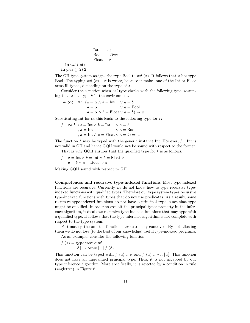Int  $\rightarrow x$  $Bool \rightarrow True$  $\text{Float} \rightarrow x$ in val  $\langle Int \rangle$ in plus  $(f 2) 2$ 

The GH type system assigns the type Bool to val  $\langle \alpha \rangle$ . It follows that x has type Bool. The typing val  $\langle \alpha \rangle : \alpha$  is wrong because it makes one of the Int or Float arms ill-typed, depending on the type of  $x$ .

Consider the situation when val type checks with the following type, assuming that  $x$  has type  $b$  in the environment.

val  $\langle \alpha \rangle$  ::  $\forall a \cdot (a = \alpha \land b = \text{Int} \quad \lor a = b$ ,  $a = \alpha$   $\vee a = \text{Bool}$ ,  $a = \alpha \wedge b =$  Float  $\vee a = b$   $\Rightarrow a$ 

Substituting Int for  $\alpha$ , this leads to the following type for f:

$$
f :: \forall a \ b \ . \ (a = \text{Int} \ \land \ b = \text{Int} \quad \lor \ a = b
$$

$$
, a = \text{Int} \quad \lor \ a = \text{Bool}
$$

$$
, a = \text{Int} \land \ b = \text{Float} \lor \ a = b) \Rightarrow a
$$

The function f may be typed with the generic instance Int. However,  $f$ : Int is not valid in GH and hence GQH would not be sound with respect to the former.

That is why GQH ensures that the qualified type for  $f$  is as follows:

 $f :: a = Int \wedge b = Int \wedge b = \text{Float} \vee$  $a = b \wedge a = \text{Bool} \Rightarrow a$ 

Making GQH sound with respect to GH.

Completeness and recursive type-indexed functions Most type-indexed functions are recursive. Currently we do not know how to type recursive typeindexed functions with qualified types. Therefore our type system types recursive type-indexed functions with types that do not use predicates. As a result, some recursive type-indexed functions do not have a principal type, since that type might be qualified. In order to exploit the principal types property in the inference algorithm, it disallows recursive type-indexed functions that may type with a qualified type. It follows that the type inference algorithm is not complete with respect to the type system.

Fortunately, the omitted functions are extremely contrived. By not allowing them we do not lose (to the best of our knowledge) useful type-indexed programs.

As an example, consider the following function:

$$
f(\alpha) = \text{typecase } \alpha \text{ of } \left[\beta\right] \to const \left[\bot\right] f(\beta)
$$

This function can be typed with  $f(\alpha) :: \alpha$  and  $f(\alpha) :: \forall a \cdot [a]$ . This function does not have an unqualified principal type. Thus, it is not accepted by our type inference algorithm. More specifically, it is rejected by a condition in rule (w-gletrec) in Figure 8.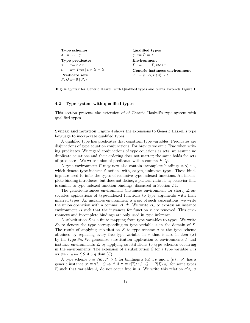| Type schemes                                             | Qualified types                                                 |  |  |
|----------------------------------------------------------|-----------------------------------------------------------------|--|--|
| $\sigma ::= \ldots   q$                                  | $q ::= P \Rightarrow t$                                         |  |  |
| Type predicates                                          | Environment                                                     |  |  |
| $\pi$ := $\epsilon \vee \epsilon$                        | $\Gamma ::= \ldots   \Gamma, x \langle \alpha \rangle :: \cdot$ |  |  |
| $\varepsilon$ : $True \mid \varepsilon \wedge t_1 = t_2$ | Generic instances environment                                   |  |  |
| Predicate sets                                           | $\Delta ::= \emptyset \mid \Delta, x \langle A \rangle \sim t$  |  |  |
| $P, Q ::= \emptyset   P, \pi$                            |                                                                 |  |  |

Fig. 4. Syntax for Generic Haskell with Qualified types and terms. Extends Figure 1

#### 4.2 Type system with qualified types

This section presents the extension of of Generic Haskell's type system with qualified types.

Syntax and notation Figure 4 shows the extensions to Generic Haskell's type language to incorporate qualified types.

A qualified type has predicates that constrain type variables. Predicates are disjunctions of type equation conjunctions. For brevity we omit True when writing predicates. We regard conjunctions of type equations as sets: we assume no duplicate equations and their ordering does not matter; the same holds for sets of predicates. We write union of predicates with a comma  $P, Q$ .

A type environment  $\Gamma$  may now also contain incomplete bindings  $x \langle \alpha \rangle :: \cdot,$ which denote type-indexed functions with, as yet, unknown types. These bindings are used to infer the types of recursive type-indexed functions. An incomplete binding introduces, but does not define, a pattern variable  $\alpha$ ; behavior that is similar to type-indexed function bindings, discussed in Section 2.1.

The generic-instances environment (instances environment for short)  $\Delta$  associates applications of type-indexed functions to type arguments with their inferred types. An instances environment is a set of such associations, we write the union operation with a comma:  $\Delta, \Delta'$ . We write  $\Delta_x$  to express an instance environment  $\Delta$  such that the instances for function x are removed. This environment and incomplete bindings are only used in type inference.

A substitution  $S$  is a finite mapping from type variables to types. We write Sa to denote the type corresponding to type variable  $a$  in the domain of  $S$ . The result of applying substitution S to type scheme  $\sigma$  is the type scheme obtained by replacing every free type variable in  $\sigma$  that is also in dom (S) by the type Sa. We generalize substitution application to environments  $\Gamma$  and instance environments  $\Delta$  by applying substitutions to type schemes occurring in the environments. The extension of a substitution  $S$  for a type variable  $a$  is written  $[a \mapsto t]S$  if  $a \notin$  dom  $(S)$ .

A type scheme  $\sigma \equiv \forall \overline{a_i} \, . \, P \Rightarrow t$ , for bindings  $x \langle \alpha \rangle :: \sigma$  and  $x \langle \alpha \rangle :: \sigma'$ , has a generic instance  $\sigma' \equiv \forall \overline{b_i}$ .  $Q \Rightarrow t'$  if  $t' \equiv t[\overline{t_i}/\overline{a_i}], Q \Vdash P[\overline{t_i}/\overline{a_i}]$  for some types  $\overline{t_i}$  such that variables  $\overline{b_i}$  do not occur free in  $\sigma$ . We write this relation  $\sigma' \leqslant_S \sigma$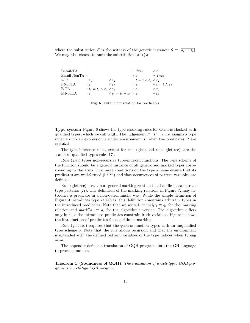where the substitution S is the witness of the generic instance:  $S \equiv [\overline{a_i \mapsto t_i}]$ . We may also choose to omit the substitution:  $\sigma' \leq \sigma$ .

| Entail-TA        |                                                       |                                                            | $\parallel$ True                                           | Vε                                |
|------------------|-------------------------------------------------------|------------------------------------------------------------|------------------------------------------------------------|-----------------------------------|
| $Entail-NonTA$ : |                                                       |                                                            | $\mathbb{F}$ $\epsilon$                                    | $\vee$ True                       |
| L-TA             | $\mathcal{E}_1$                                       | $V \varepsilon_2$                                          | $\mathbb{H} t = t \wedge \varepsilon_1 \vee \varepsilon_2$ |                                   |
| L-NonTA          | $\mathcal{E}$ $\mathcal{E}$ 1                         | $V \varepsilon$                                            | $\mathsf{F}\varepsilon_1$                                  | $\vee t = t \wedge \varepsilon_2$ |
| E-TA             | : $t_1 = t_2 \wedge \varepsilon_1 \vee \varepsilon_2$ |                                                            | $\mathsf{F}\varepsilon_1$                                  | $V \varepsilon$                   |
| E-NonTA          | $\mathcal{E}_1$                                       | $\vee t_1 = t_2 \wedge \varepsilon_2 \Vdash \varepsilon_1$ |                                                            | V E2.                             |

Fig. 5. Entailment relation for predicates.

Type system Figure 6 shows the type checking rules for Generic Haskell with qualified types, which we call GQH. The judgement  $P | \Gamma \vdash e :: \sigma$  assigns a type scheme  $\sigma$  to an expression e under environment  $\Gamma$  when the predicates  $P$  are satisfied.

The type inference rules, except for rule (glet) and rule (glet-rec), are the standard qualified types rules[17].

Rule (glet) types non-recursive type-indexed functions. The type scheme of the function should be a generic instance of all generalized marked types corresponding to the arms. Two more conditions on the type scheme ensure that its predicates are well-formed  $(F^{pred})$  and that occurrences of pattern variables are defined.

Rule (glet-rec) uses a more general marking relation that handles parametrized type patterns  $(\Omega)$ . The definition of the marking relation, in Figure 7, may introduce a predicate in a non-deterministic way. While the simple definition of Figure 3 introduces type variables, this definition constrains arbitrary types in the introduced predicates. Note that we write  $\vdash mark_{\Omega}^{\alpha} t_1 \equiv q_2$  for the marking relation and  $mark_0^{\alpha}t_1 \equiv q_2$  for the algorithmic version. The algorithm differs only in that the introduced predicates constrain fresh variables. Figure 9 shows the introduction of predicates for algorithmic marking.

Rule (glet-rec) requires that the generic function types with an unqualified type scheme  $\sigma$ . Note that the rule allows recursion and that the environment is extended with the defined pattern variables of the type indices when typing arms.

The appendix defines a translation of GQH programs into the GH language to prove soundness.

Theorem 1 (Soundness of GQH). The translation of a well-typed GQH program is a well-typed GH program.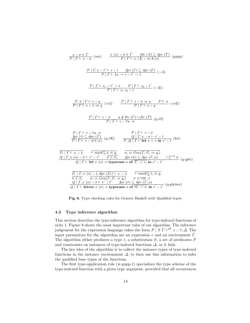

Fig. 6. Type checking rules for Generic Haskell with Qualified types.

#### 4.3 Type inference algorithm

This section describes the type-inference algorithm for type-indexed functions of arity 1. Figure 8 shows the most important rules of our algorithm. The inference judgement for the expression language takes the form  $P \mid S \Gamma \vdash^W e :: t; \Delta$ . The input parameters for the algorithm are an expression  $e$  and an environment  $\Gamma$ . The algorithm either produces a type  $t$ , a substitution  $S$ , a set of predicates  $P$ and constraints on instances of type-indexed functions  $\Delta$ , or it fails.

The key idea of the algorithm is to collect the instance types of type-indexed functions in the instance environment  $\Delta$ , to then use this information to infer the qualified base types of the functions.

The first type-application rule (w-gapp-1) specializes the type scheme of the type-indexed function with a given type argument, provided that all occurrences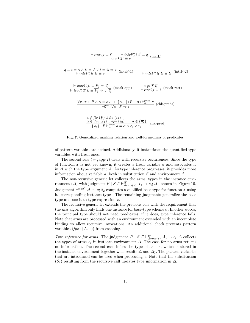$$
\frac{\partial f}{\partial t} = t' \frac{\partial f}{\partial t} + \frac{\partial f}{\partial t} \frac{\partial f}{\partial t} = q \quad (\text{mark})
$$
\n
$$
q \equiv t = \alpha \wedge t_1 = A \vee t = t_2 \Rightarrow t \quad (\text{intrP-1}) \qquad \frac{\partial f}{\partial t} = t_2 \quad (\text{intrP-2})
$$
\n
$$
\frac{\partial f}{\partial t} = \frac{\partial f}{\partial t} \frac{\partial f}{\partial t} = \frac{P_i \Rightarrow t_i'}{\partial t} \quad (\text{mark-app}) \qquad \frac{t}{\partial t} \neq T \frac{\partial f}{\partial t} \quad (\text{mark-rest})
$$
\n
$$
\frac{\partial f}{\partial t} = \frac{\partial f}{\partial t} \frac{\partial f}{\partial t} \frac{\partial f}{\partial t} = \frac{P_i \Rightarrow t_i'}{\partial t} \quad (\text{mark-eps})
$$
\n
$$
\frac{\partial f}{\partial t} = \frac{\partial f}{\partial t} \frac{\partial f}{\partial t} \frac{\partial f}{\partial t} = \frac{P_i \Rightarrow t}{P_i \circ t} \quad (\text{chk-preds})
$$
\n
$$
\frac{a \notin f t v}{P_i \circ t} \quad (\text{chk-preds})
$$
\n
$$
\frac{a \notin f t v}{\partial t} \quad (\text{chl}) \cup f t v \quad (\text{chl})
$$
\n
$$
\frac{a \notin d p v \quad (\text{chl}) \cup d p v \quad (\text{chl})}{\{a_i\} \mid P \mid P_i^{\text{pred}} \quad a = \alpha \wedge \text{chl} \vee \text{chl}} \quad (\text{chl-pred})
$$

Fig. 7. Generalized marking relation and well-formedness of predicates.

of pattern variables are defined. Additionally, it instantiates the quantified type variables with fresh ones.

The second rule (w-gapp-2) deals with recursive occurrences. Since the type of function  $x$  is not yet known, it creates a fresh variable  $a$  and associates it in  $\Delta$  with the type argument A. As type inference progresses, it provides more information about variable a, both in substitution S and environment  $\Delta$ .

The non-recursive generic let collects the arms' types in the instance environment ( $\Delta$ ) with judgment  $P \mid S \Gamma \vdash_{Arms(x)}^W \overline{T_i \rightarrow e_i}; \Delta$ , shown in Figure 10. Judgement  $\vdash^{x} \langle \alpha \rangle \Delta \leadsto q; S_2$  computes a qualified base type for function x using its corresponding instance types. The remaining judgments generalize the base type and use it to type expression e.

The recursive generic let extends the previous rule with the requirement that the *inst* algorithm only finds one instance for base-type scheme  $\sigma$ . In other words, the principal type should not need predicates; if it does, type inference fails. Note that arms are processed with an environment extended with an incomplete binding to allow recursive invocations. An additional check prevents pattern variables  $(fpv \ (\{\overline{\Omega_i}\}) )$  from escaping.

Type inference for arms. The judgement  $P \mid S \cap \vdash_{Arms(x)}^W \overline{A_i \rightarrow e_i}; \Delta$  collects the types of arms  $\overline{e_i}$  in instance environment  $\Delta$ . The case for no arms returns no information. The second case infers the type of arm  $e$ , which is stored in the instance environment together with results  $\Delta$  and  $\Delta_2$ . The pattern variables that are introduced can be used when processing e. Note that the substitution  $(S_2)$  resulting from the recursive call updates type information in  $\Delta$ .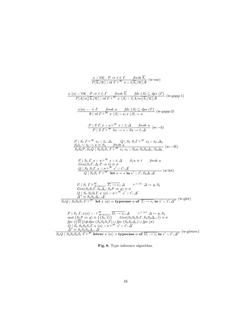| $\frac{x::\forall \overline{a_i} \cdot P \Rightarrow t \in \Gamma \quad \text{ fresh } b_i}{P[\overline{b_i}/\overline{a_i}]   id \Gamma \vdash^W x :: t[\overline{b_i}/\overline{a_i}] : \emptyset}$ (w-var)                                                                                                                                                                                                                                                                                                                                                                                                                                                                            |
|------------------------------------------------------------------------------------------------------------------------------------------------------------------------------------------------------------------------------------------------------------------------------------------------------------------------------------------------------------------------------------------------------------------------------------------------------------------------------------------------------------------------------------------------------------------------------------------------------------------------------------------------------------------------------------------|
| $\frac{x \langle \alpha \rangle : \forall \overline{a_i} \, . \, P \Rightarrow t \in \Gamma \quad \text{ fresh } \overline{b_i} \quad \text{fdv } (A) \subseteq \text{dpv } (\Gamma) \quad (\text{w-gapp-1})}{P[A/\alpha][\overline{b_i}/\overline{a_i}] \mid id \Gamma \vdash^W x \langle A \rangle :: t[A/\alpha][\overline{b_i}/\overline{a_i}] : \emptyset}$                                                                                                                                                                                                                                                                                                                         |
| $\frac{x\langle\alpha\rangle::\in\Gamma\qquad\text{ fresh }a\qquad\text{fd}v(A)\subseteq\text{dp}v(\Gamma)}{\emptyset \text{ id }\Gamma\vdash^W x(A):a:x(A)\sim a}(\text{w-gapp-2})$                                                                                                                                                                                                                                                                                                                                                                                                                                                                                                     |
| $\frac{P \mid S \Gamma, x :: a \vdash^W e :: t; \Delta \quad \text{ fresh } a}{P \mid S \Gamma \vdash^W \lambda x \rightarrow e :: Sa \rightarrow t; \Delta} \ (\text{w}\rightarrow\text{I})$                                                                                                                                                                                                                                                                                                                                                                                                                                                                                            |
| $\begin{array}{l l} P \mid S_1 \; \Gamma \vdash^W e_1 :: t_1; \Delta_1 & Q \mid S_2 \; S_1 \Gamma \vdash^W e_2 :: t_2; \Delta_2 \\ \hline S_2 \, t_1 \sim t_2 \rightarrow a \equiv S_3 & \; \; \text{fresh} \; a \\ \hline S_3 \, S_2 \, P, S_3 \, Q \mid S_3 \, S_2 \, S_1 \; \Gamma \vdash^W e_1 \; e_2 :: S_3 \, a; S_3 \, S_2 \, \Delta_1, S_3 \, \Delta_2} \end{array} \big( \text{w--E} \big)$                                                                                                                                                                                                                                                                                     |
| $P   S_1 T, x :: a \vdash^W e :: t : \Delta S_1 a \equiv t$ fresh a<br>Gen(S <sub>1</sub> $\Gamma$ , $\Delta$ ; $\overline{P} \Rightarrow t$ ) $\equiv \sigma$<br>$Q \mid S_2 \mid S_1 \Gamma$ , $x :: \sigma \vdash^W e' :: t'; \Delta'$<br>$Q \mid S_2 S_1 \Gamma \vdash^W \text{ let } x = e \text{ in } e' :: t'; S_2 \Delta, \Delta'$ (w-let)                                                                                                                                                                                                                                                                                                                                       |
| $P   S_1 \Gamma \vdash^W_{Arms(x)} \overline{T_i \rightarrow e_i}; \Delta \longrightarrow^{x \langle \alpha \rangle} \Delta \leadsto q; S_2$<br>$Gen(S_2S_1T, S_2\Delta_x; S_2P \Rightarrow q) \equiv \sigma$<br>$Q \mid S_3 S_2 S_1 \Gamma, x \langle \alpha \rangle :: \sigma \vdash^{W'} e' :: t'; \Delta'$<br>$\Delta'' \equiv S_3 S_2 \Delta_x, \Delta'$<br>$S_3 Q \mid S_3 S_2 S_1 \Gamma \vdash^{W} \text{let } x \langle \alpha \rangle = \text{typecase } \alpha \text{ of } \overline{T_i \rightarrow e_i} \text{ in } e' :: t'; \Delta'' \text{ (w-glet)}$                                                                                                                    |
| $P   S_1 \Gamma, x \langle \alpha \rangle :: \vdash^W_{Arms(x)} \overline{\Omega_i \rightarrow e_i}; \Delta \qquad \vdash^{x \langle \alpha \rangle} \Delta \leadsto q; S_2$<br>inst $(S_2P \Rightarrow q) \equiv \{(S_3,t)\}\$ $Gen(S_3S_2S_1T, S_3S_2\Delta_x; t) \equiv \sigma$<br>fpv $(\{\Omega_i\})$ #dpv $(S_3S_2S_1\Gamma)$ $\cup$ fpv $(S_3S_2\Delta_x)$ $\cup$ fpv $(\sigma)$<br>$Q \mid S_4 S_3 S_2 S_1 \Gamma, x \langle \alpha \rangle :: \sigma \vdash^W e' :: t'; \Delta'$<br>$\Delta'' \equiv S_4S_3S_2\Delta_x, \Delta'$<br>$S_4Q \mid S_4S_3S_2S_1 \Gamma \vdash^W$ lettrec $x \langle \alpha \rangle =$ typecase $\alpha$ of $\overline{\Omega_i \rightarrow e_i}$ in |
|                                                                                                                                                                                                                                                                                                                                                                                                                                                                                                                                                                                                                                                                                          |

Fig. 8. Type inference algorithm.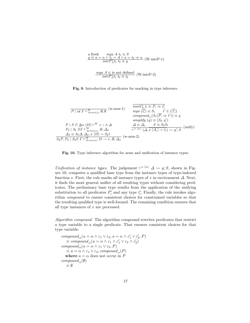$$
a \text{ fresh} \qquad \text{mag} \quad A \quad t_1 \equiv S
$$
\n
$$
q \equiv a = \alpha \land t_1 = A \lor a = t_2 \Rightarrow a \quad (\text{W-intrP-1})
$$
\n
$$
\text{intrP}_{A}^{\alpha} t_1 \quad t_2 \equiv q
$$
\n
$$
\text{mgu } A \quad t_1 \text{ is not defined} \quad (\text{W-intrP-2})
$$

Fig. 9. Introduction of predicates for marking in type inference.

P | id Γ ` W Arms(x) ∅; ∅ (w-arm-1) P | S Γ, fpv (Ω) ` <sup>W</sup> e :: t; ∆ P<sup>2</sup> | S<sup>2</sup> SΓ ` W Arms(x) R; ∆<sup>2</sup> ∆<sup>3</sup> ≡ S2∆, ∆2, x hΩi ∼ S2t S2P,P<sup>2</sup> | S2S Γ ` W Arms(x) Ω → e, R; ∆<sup>3</sup> (w-arm-2) mark <sup>α</sup> Ai t<sup>i</sup> ≡ P<sup>i</sup> ⇒ t 0 i mgu (t 0 i ) ≡ S<sup>1</sup> t <sup>0</sup> ∈ {t 0 i } compound <sup>α</sup>(S1(P<sup>i</sup> ⇒ t 0 )) ≡ q simplify (q) ≡ (S2, q 0 ) ∆ ≡ ∆<sup>x</sup> S ≡ S2S<sup>1</sup> ` x hαi (∆, x hA<sup>i</sup> i ∼ t<sup>i</sup> ) q 0 ; S (unify)



Unification of instance types. The judgement  $\vdash^{x} \langle \alpha \rangle \Delta \leadsto q; S$ , shown in Figure 10, computes a qualified base type from the instance types of type-indexed function x. First, the rule marks all instance types of x in environment  $\Delta$ . Next, it finds the most general unifier of all resulting types without considering predicates. The preliminary base type results from the application of the unifying substitution to all predicates  $P'_i$  and any type  $t'_i$ . Finally, the rule invokes algorithm compound to ensure consistent choices for constrained variables so that the resulting qualified type is well-formed. The remaining condition ensures that all type instances of  $x$  are processed.

Algorithm compound. The algorithm compound rewrites predicates that restrict a type variable to a single predicate. That ensures consistent choices for that type variable.

```
\mathit{compound}_\alpha(a = \alpha \wedge \varepsilon_1 \vee \varepsilon_2, a = \alpha \wedge \varepsilon_1' \vee \varepsilon_2', P)\equiv\mathit{compound}_{\alpha}(a=\alpha \wedge \varepsilon_1 \wedge \varepsilon_1' \vee \varepsilon_2 \wedge \varepsilon_2')compound<sub>α</sub>(a = \alpha \wedge \varepsilon_1 \vee \varepsilon_2, P)\equiv a = \alpha \wedge \varepsilon_1 \vee \varepsilon_2, compound<sub>α</sub>(P)where a = \alpha does not occur in P
compound<sub>α</sub>(\emptyset)
      ≡ ∅
```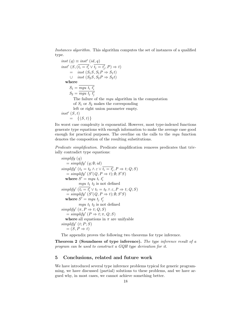Instances algorithm. This algorithm computes the set of instances of a qualified type.

inst  $(q) \equiv inst'$   $(id, q)$ inst'  $(S, (\overline{t_i = t'_i} \vee \overline{t_j = t'_j}, P) \Rightarrow t)$  $=$  inst  $(S_1S, S_1P \Rightarrow S_1t)$ ∪ *inst*  $(S_2S, S_2P \Rightarrow S_2t)$ where  $S_1 = \overline{mgu\ t_i\ t_i'}$  $S_2 = \overline{mgu\;t_j\;t_j'}$ The failure of the mgu algorithm in the computation of  $S_1$  or  $S_2$  makes the corresponding left or right union parameter empty.  $inst'(S, t)$  $= \{(S, t)\}\$ 

Its worst case complexity is exponential. However, most type-indexed functions generate type equations with enough information to make the average case good enough for practical purposes. The overline on the calls to the mgu function denotes the composition of the resulting substitutions.

Predicate simplification. Predicate simplification removes predicates that trivially contradict type equations:

```
simplifu(q)= simplify' (q; \emptyset; id)simplify' (t_1 = t_2 \wedge \varepsilon \vee \overline{t_i = t'_i}, P \Rightarrow t; Q; S)= simplify' (S'(Q, P \Rightarrow t); \emptyset; S'S)where S' = mgu \ t_i \ t'_imgu t_1 t_2 is not defined
simplify' (\overline{t_i = t'_i} \vee t_1 = t_2 \wedge \varepsilon, P \Rightarrow t; Q; S)= simplify' (S'(Q, P \Rightarrow t); \emptyset; S'S)where S' = mgu \ t_j \ t'_jmgu t_1 t_2 is not defined
simplify' (\pi, P \Rightarrow t; Q; S)= simplify' (P \Rightarrow t; \pi, Q; S)where all equations in \pi are unifyable
simplify' (t; P; S)=(S,P \Rightarrow t)
```
The appendix proves the following two theorems for type inference.

Theorem 2 (Soundness of type inference). The type inference result of a program can be used to construct a GQH type derivation for it.

## 5 Conclusions, related and future work

We have introduced several type inference problems typical for generic programming, we have discussed (partial) solutions to these problems, and we have argued why, in most cases, we cannot achieve something better.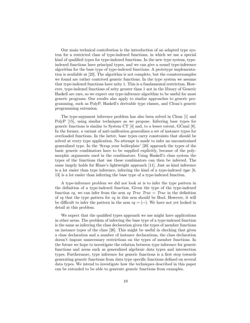Our main technical contribution is the introduction of an adapted type system for a restricted class of type-indexed functions, in which we use a special kind of qualified types for type-indexed functions. In the new type system, typeindexed functions have principal types, and we can give a sound type-inference algorithm for the base type of type-indexed functions. A prototype implementation is available at [23]. The algorithm is not complete, but the counterexamples we found are rather contrived generic functions. In the type system we assume that type-indexed functions have arity 1. This is a fundamental restriction. However, type-indexed functions of arity greater than 1 not in the library of Generic Haskell are rare, so we expect our type-inference algorithm to be useful for most generic programs. Our results also apply to similar approaches to generic programming, such as PolyP, Haskell's derivable type classes, and Clean's generic programming extension.

The type-argument inference problem has also been solved in Clean [1] and PolyP [15], using similar techniques as we propose. Inferring base types for generic functions is similar to System CT [4] and, to a lesser extent, GCaml [8]. In the former, a variant of anti-unification generalizes a set of instance types for overloaded functions. In the latter, base types carry constraints that should be solved at every type application. No attempt is made to infer an unconstrained generalized type. In the 'Scrap your boilerplate' [20] approach the types of the basic generic combinators have to be supplied explicitly, because of the polymorphic arguments used in the combinators. Using Haskell's class system the types of the functions that use these combinators can then be inferred. The same largely holds for Hinze's lightweight approach [11]. Just as kind inference is a lot easier than type inference, inferring the kind of a type-indexed type  $[6,$ 13] is a lot easier than inferring the base type of a type-indexed function.

A type-inference problem we did not look at is to infer the type pattern in the definition of a type-indexed function. Given the type of the type-indexed function eq, we can infer from the arm eq True True = True in the definition of eq that the type pattern for eq in this arm should be Bool. However, it will be difficult to infer the pattern in the arm  $eq = (=)$ . We have not yet looked in detail at this problem.

We expect that the qualified types approach we use might have applications in other areas. The problem of inferring the base type of a type-indexed function is the same as inferring the class declaration given the types of member functions on instance types of the class [26]. This might be useful in checking that given a class declaration and a number of instance declarations, the class declaration doesn't impose unnecessary restrictions on the types of member functions. In the future we hope to investigate the relation between type inference for generic functions and areas such as generalized algebraic data types and intersection types. Furthermore, type inference for generic functions is a first step towards generating generic functions from data type specific functions defined on several data types. We intend to investigate how the techniques described in this paper can be extended to be able to generate generic functions from examples.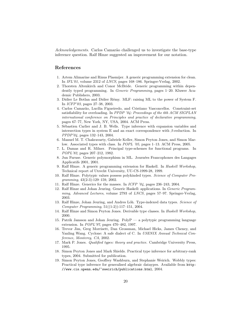Acknowledgements. Carlos Camarão challenged us to investigate the base-type inference question. Ralf Hinze suggested an improvement for our notation.

## References

- 1. Artem Alimarine and Rinus Plasmijer. A generic programming extension for clean. In IFL'01, volume 2312 of LNCS, pages 168–186. Springer-Verlag, 2002.
- 2. Thorsten Altenkirch and Conor McBride. Generic programming within dependently typed programming. In Generic Programming, pages 1–20. Kluwer Academic Publishers, 2003.
- 3. Didier Le Botlan and Didier R´emy. MLF: raising ML to the power of System F. In ICFP'03, pages 27–38, 2003.
- 4. Carlos Camar˜ao, Luc´ılia Figueiredo, and Cristiano Vasconcellos. Constraint-set satisfiability for overloading. In *PPDP* '04: Proceedings of the 6th ACM SIGPLAN international conference on Principles and practice of declarative programming, pages 67–77, New York, NY, USA, 2004. ACM Press.
- 5. Sébastien Carlier and J. B. Wells. Type inference with expansion variables and intersection types in system E and an exact correspondence with  $\beta$ -reduction. In PPDP'04, pages 132–143, 2004.
- 6. Manuel M. T. Chakravarty, Gabriele Keller, Simon Peyton Jones, and Simon Marlow. Associated types with class. In POPL '05, pages 1–13. ACM Press, 2005.
- 7. L. Damas and R. Milner. Principal type-schemes for functional programs. In POPL'82, pages 207–212, 1982.
- 8. Jun Furuse. Generic polymorphism in ML. Journées Francophones des Langages Applicatifs 2001, 2001.
- 9. Ralf Hinze. A generic programming extension for Haskell. In Haskell Workshop, Technical report of Utrecht University, UU-CS-1999-28, 1999.
- 10. Ralf Hinze. Polytypic values possess polykinded types. Science of Computer Programming, 43(2-3):129–159, 2002.
- 11. Ralf Hinze. Generics for the masses. In ICFP '04, pages 236–243, 2004.
- 12. Ralf Hinze and Johan Jeuring. Generic Haskell: applications. In Generic Programming, Advanced Lectures, volume 2793 of LNCS, pages 57–97. Springer-Verlag, 2003.
- 13. Ralf Hinze, Johan Jeuring, and Andres Löh. Type-indexed data types. Science of Computer Programming, 51((1-2)):117–151, 2004.
- 14. Ralf Hinze and Simon Peyton Jones. Derivable type classes. In Haskell Workshop, 2000.
- 15. Patrik Jansson and Johan Jeuring. PolyP a polytypic programming language extension. In POPL'97, pages 470–482, 1997.
- 16. Trevor Jim, Greg Morrisett, Dan Grossman, Michael Hicks, James Cheney, and Yanling Wang. Cyclone: A safe dialect of C. In USENIX Annual Technical Conference, Monterey, CA, 2002.
- 17. Mark P. Jones. Qualified types: theory and practice. Cambridge University Press, 1995.
- 18. Simon Peyton Jones and Mark Shields. Practical type inference for arbitrary-rank types, 2004. Submitted for publication.
- 19. Simon Peyton Jones, Geoffrey Washburn, and Stephanie Weirich. Wobbly types: Practical type inference for generalised algebraic dataypes. Available from http: //www.cis.upenn.edu/~sweirich/publications.html, 2004.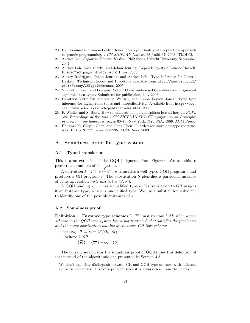- 20. Ralf Lämmel and Simon Peyton Jones. Scrap your boilerplate: a practical approach to generic programming. ACM SIGPLAN Notices, 38(3):26–37, 2003. TLDI'03.
- 21. Andres Löh. Exploring Generic Haskell. PhD thesis, Utrecht University, September 2004.
- 22. Andres Löh, Dave Clarke, and Johan Jeuring. Dependency-style Generic Haskell. In ICFP'03, pages 141–152. ACM Press, 2003.
- 23. Alexey Rodriguez, Johan Jeuring, and Andres Löh. Type Inference for Generic Haskell. Technical Report and Prototype available from http://www.cs.uu.nl/ wiki/Alexey/GHTypeInference, 2005.
- 24. Vincent Simonet and François Pottier. Constraint-based type inference for guarded algebraic data types. Submitted for publication, July 2003.
- 25. Dimitrios Vytiniotis, Stephanie Weirich, and Simon Peyton Jones. Boxy type inference for higher-rank types and impredicativity. Available from http://www. cis.upenn.edu/~sweirich/publications.html, 2005.
- 26. P. Wadler and S. Blott. How to make ad-hoc polymorphism less ad hoc. In POPL '89: Proceedings of the 16th ACM SIGPLAN-SIGACT symposium on Principles of programming languages, pages 60–76, New York, NY, USA, 1989. ACM Press.
- 27. Hongwei Xi, Chiyan Chen, and Gang Chen. Guarded recursive datatype constructors. In POPL '03, pages 224–235. ACM Press, 2003.

## A Soundness proof for type system

### A.1 Typed translation

This is a an extension of the GQH judgments from Figure 6. We use this to prove the soundness of the system.

A derivation  $P | I \vdash e \stackrel{S}{\leadsto} e' :: \sigma$  translates a well-typed GQH program  $e$  and produces a GH program  $e'$ . The substitution S identifies a particular instance of  $\sigma$ , using relation *inst: inst*  $(\sigma) \equiv (S, \sigma')$ .

A GQH binding  $x :: \sigma$  has a qualified type  $\sigma$ . Its translation to GH assigns it an instance type, which is unqualified type. We use a substitution subscript to identify one of the possible instances of  $x$ .

#### A.2 Soundness proof

**Definition 1** (Instance type schemes<sup>1</sup>). The inst relation holds when a type scheme in the QGH type system has a substitution S that satisfies the predicates and the same substitution obtains an instance GH type scheme.

$$
inst\ (\forall \overline{a_i} \cdot P \Rightarrow t) \equiv (S, \forall \overline{b_i} \cdot St)
$$
  
where  $\Vdash SP$   

$$
\{\overline{b_i}\} = \{\overline{a_i}\} - \text{dom }(S)
$$

The current section (for the soundness proof of GQH) uses this definition of inst instead of the algorithmic one presented in Section 4.3.

 $1$  We don't explicitly distinguish between GH and QGH type schemes with different syntactic categories. It is not a problem since it is always clear from the context.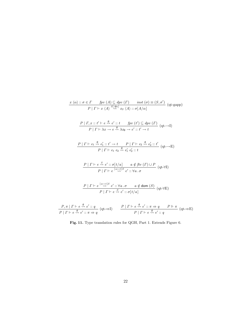$$
\frac{x(\alpha) :: \sigma \in \Gamma \qquad \text{fpv}(A) \subseteq \text{dpv}(F) \qquad \text{inst}(\sigma) \equiv (S, \sigma')}{P | \Gamma \vdash x \langle A \rangle \overset{S[A\alpha]}{\leadsto} x_S \langle A \rangle :: \sigma[A/\alpha]}
$$
\n
$$
\frac{P | \Gamma, x :: t' \vdash e \overset{\emptyset}{\leadsto} e' :: t \qquad \text{fpv}(t') \subseteq \text{dpv}(\Gamma)}{P | \Gamma \vdash \lambda x \rightarrow e \overset{\emptyset}{\leadsto} \lambda x_{\emptyset} \rightarrow e' :: t' \rightarrow t} \quad (\text{qt--1})
$$
\n
$$
\frac{P | \Gamma \vdash e_1 \overset{\emptyset}{\leadsto} e'_1 :: t' \rightarrow t \qquad P | \Gamma \vdash e_2 \overset{\emptyset}{\leadsto} e'_2 :: t'}{P | \Gamma \vdash e_1 e_2 \overset{\emptyset}{\leadsto} e'_1 e'_2 :: t} \quad (\text{qt--E})
$$
\n
$$
\frac{P | \Gamma \vdash e \overset{S}{\leadsto} e' :: \sigma[t/a] \qquad a \notin \text{ftv}(\Gamma) \cup P}{P | \Gamma \vdash e \overset{[a \rightarrow t]S}{\leadsto} e' :: \forall a \cdot \sigma} \quad (\text{qt--VI})
$$
\n
$$
\frac{P | \Gamma \vdash e \overset{[a \rightarrow t]S}{\leadsto} e' :: \forall a \cdot \sigma \qquad a \notin \text{dom}(S)}{P | \Gamma \vdash e \overset{S}{\leadsto} e' :: \sigma[t/a]} \quad (\text{qt--VE})
$$
\n
$$
\frac{P | \Gamma \vdash e \overset{\emptyset}{\leadsto} e' :: q}{P | \Gamma \vdash e \overset{\emptyset}{\leadsto} e' :: \sigma[t/a]} \quad \frac{P | \Gamma \vdash e \overset{\emptyset}{\leadsto} e' :: \pi \Rightarrow q \qquad P \Vdash \pi}{P | \Gamma \vdash e \overset{\emptyset}{\leadsto} e' :: q} \quad (\text{qt--B})
$$

Fig. 11. Type translation rules for QGH, Part 1. Extends Figure 6.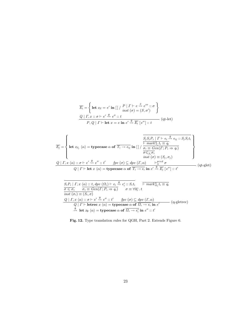$$
\overline{E_i} = \left\{ \text{let } x_S = e' \text{ in } [] / \frac{P | \Gamma \vdash e \stackrel{S}{\leadsto} e''' : \sigma}{\text{inst } (\sigma) = (S, \sigma')} \right\}
$$
\n
$$
\frac{Q | \Gamma, x :: \sigma \vdash e' \stackrel{\emptyset}{\leadsto} e'' :: t}{P, Q | \Gamma \vdash \text{let } x = e \text{ in } e' \stackrel{\emptyset}{\leadsto} \overline{E_i} [e''] :: t} \text{ (qt-let)}
$$

$$
\overline{E_j} = \left\{ \text{let } x_{S_j} \langle \alpha \rangle = \text{typesase } \alpha \text{ of } \overline{T_i \rightarrow e_{ij}} \text{ in } [] \text{ } / \frac{\frac{\overline{S_j S_i P_i} \mid \Gamma \vdash e_i \stackrel{\emptyset}{\sim} e_{ij} :: S_j S_i t_i}{\overline{F_i} \cdot \overline{F_i} \cdot \overline{F_i}}}{\sigma \leq \overline{S_i \sigma_i}} \right\}
$$
\n
$$
\frac{Q \mid \Gamma, x \langle \alpha \rangle :: \sigma \vdash e' \stackrel{\emptyset}{\sim} e'': t' \qquad \text{fpv } (\sigma) \subseteq \text{dpv } (\Gamma, \alpha) \qquad \overline{\overline{F_i \rightarrow e_i} \sigma} \text{ in } e' \stackrel{\emptyset}{\sim} \overline{E_j} \mid e''] :: t'}{\sigma \mid \overline{F_i \rightarrow e_i} \cdot \overline{F_j} \cdot \overline{F_j} \mid e'' \mid :: t'} \qquad \text{(qt-glet)}
$$

$$
\frac{S_i P_i \mid \Gamma, x \langle \alpha \rangle :: t, dpv \ (\Omega_i) \vdash e_i \stackrel{\emptyset}{\leadsto} e'_i :: S_i t_i \quad \overline{\vdash mark^{\alpha}_{\Omega_i} t_i \equiv q_i}
$$
\n
$$
\overline{\sigma \leq \sigma_i} \quad \overline{\sigma_i \equiv Gen(\Gamma; P_i \Rightarrow q_i)} \quad \sigma \equiv \forall \overline{a_j} \ . t
$$
\n
$$
\frac{Q \mid \Gamma, x \langle \alpha \rangle :: \sigma \vdash e' \stackrel{\emptyset}{\leadsto} e'': t' \quad \textit{fpv} \ (\sigma) \subseteq dpv \ (\Gamma, \alpha)}{Q \mid \Gamma \vdash \textbf{letrec} \ x \langle \alpha \rangle = \textbf{typecase} \ \alpha \ \textbf{of} \ \overline{\Omega_i \rightarrow e_i} \ \textbf{in} \ e'}
$$
\n
$$
\stackrel{\emptyset}{\leadsto} \textbf{let} \ x_{\emptyset} \ \langle \alpha \rangle = \textbf{typecase} \ \alpha \ \textbf{of} \ \overline{\Omega_i \rightarrow e'_i} \ \textbf{in} \ e'': t' \ \textbf{in} \ e' \ \textbf{in} \ e'.
$$

Fig. 12. Type translation rules for QGH, Part 2. Extends Figure 6.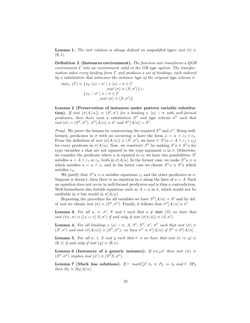**Lemma 1.** The inst relation is always defined on unqualified types: inst (t)  $\equiv$  $(0, t)$ .

Definition 2 (Instances environment). The function inst transforms a QGH environment  $\Gamma$  into an environment valid in the GH type system. The transformation takes every binding from  $\Gamma$  and produces a set of bindings, each indexed by a substitution that witnesses the instance type of the original type scheme  $\sigma$ .

$$
inst_{\Gamma} (\Gamma) \equiv \{ x_S \langle \alpha \rangle :: \sigma' \mid x \langle \alpha \rangle :: \sigma \in \Gamma
$$
  
, 
$$
inst (\sigma) \equiv (S, \sigma') \} \cup
$$
  

$$
\{ x_S :: \sigma' \mid x :: \sigma \in \Gamma
$$
  
, 
$$
inst (\sigma) \equiv (S, \sigma') \}
$$

Lemma 2 (Preservation of instances under pattern variable substitu**tion).** If inst  $(\sigma[A/\alpha]) \equiv (S', \sigma')$  for a binding  $x \langle \alpha \rangle : \sigma$  with well-formed predicates, then there exist a substitution  $S''$  and type scheme  $\sigma''$  such that inst  $(\sigma) = (S'', \sigma''), \sigma''[A/\alpha] \equiv \sigma'$  and  $S''[A/\alpha] = S'.$ 

*Proof.* We prove the lemma by constructing the required  $S''$  and  $\sigma''$ . Being wellformed, predicates in  $\sigma$  with an occurring  $\alpha$  have the form  $a = \alpha \wedge \varepsilon_1 \vee \varepsilon_2$ . From the definition of *inst*  $(\sigma[A/\alpha]) \equiv (S', \sigma')$ , we have  $\Vdash S'(a = A \wedge \varepsilon_1 \vee \varepsilon_2)$ for every predicate in  $\sigma[A/\alpha]$ . Now, we construct S'' by making  $S' a \equiv S'' a$  for type variables a that are not equated to the type argument  $\alpha$  in  $\sigma$ . Otherwise, we consider the predicate where  $a$  is equated to  $\alpha$ ; we have two possibilities:  $S'$ satisfies  $a = A \wedge \varepsilon_1$  or  $\varepsilon_2$ , both in  $\sigma[A/\alpha]$ . In the former case, we make  $S''a \equiv \alpha$ which satisfies  $a = \alpha \wedge \varepsilon_1$  and in the latter case we choose  $S''a \equiv S'a$  which satisfies  $\varepsilon_2$ .

We justify that  $S'' a \equiv \alpha$  satisfies equations  $\varepsilon_1$  and the other predicates in  $\sigma$ . Suppose it doesn't, then there is an equation in  $\sigma$  along the lines of  $a = A$ . Such an equation does not occur in well-formed predicates and is thus a contradiction. Well-formedness also forbids equations such as  $A = \alpha$  in  $\sigma$ , which would not be satifiable in  $\sigma$  but would in  $\sigma[A/\alpha]$ .

Repeating the procedure for all variables we have  $S''[A/\alpha] = S'$  and by def. of inst we obtain inst  $(\sigma) \equiv (S'', \sigma'')$ . Finally, it follows that  $\sigma''[A/\alpha] \equiv \sigma'$ .

**Lemma 3.** For all a,  $\sigma$ ,  $\sigma'$ , S and t such that  $a \notin$  dom  $(S)$  we have that inst  $(\forall a \cdot \sigma) \equiv (\lceil a \mapsto t \rceil S, \sigma')$  if and only if inst  $(\sigma \lceil t/a \rceil) \equiv (S, \sigma')$ .

**Lemma 4.** For all bindings  $x \langle \alpha \rangle :: \sigma$ , A, S', S'',  $\sigma'$ ,  $\sigma''$  such that inst  $(\sigma) \equiv$  $(S', \sigma')$  and inst  $(\sigma[A/\alpha]) \equiv (S'', \sigma'')$ ; we have  $\sigma'' \equiv \sigma'[A/\alpha]$  if  $S'' \equiv S'[A/\alpha]$ .

**Lemma 5.** For all  $\pi$ , t, S and q such that  $\Vdash \pi$  we have that inst  $(\pi \Rightarrow q) \equiv$  $(\emptyset, t)$  if and only if inst  $(q) \equiv (\emptyset, \sigma)$ .

Lemma 6 (Instances of a generic instance). If  $\sigma \leqslant_S \sigma'$  then inst  $(\sigma) \equiv$  $(S'', \sigma'')$  implies inst  $(\sigma') \equiv (S''S, \sigma'')$ .

Lemma 7 (Mark has solutions). If  $\vdash mark_A^{\alpha} \Gamma$ ;  $t_1 \equiv P_2 \Rightarrow t_2$  and  $\Vdash SP_2$ then  $St_1 \equiv St_2[A/\alpha]$ .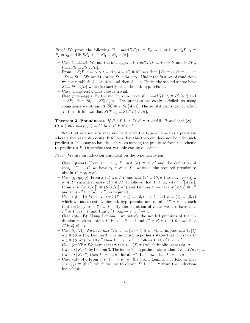*Proof.* We prove the following: If  $\vdash mark_A^{\alpha} \Gamma$ ;  $t_1 \equiv P_2 \Rightarrow t_2$  or  $\vdash trav_A^{\alpha} \Gamma$ ;  $t_1 \equiv$  $P_2 \Rightarrow t_2$  and  $\mathrel{\Vdash} SP_2$ , then  $St_1 \equiv St_2[A/\alpha]$ .

- Case (makeQ): We use the ind. hyp.: if  $\vdash \textit{trav}_A^{\alpha} \Gamma$ ;  $t_1 \equiv P_2 \Rightarrow t_2$  and  $\Vdash SP_2$ , then  $St_1 \equiv St_2[A/\alpha]$ .
- From  $\mathbb{F} S(P, a = \alpha \wedge t = A \vee a = t')$  it follows that  $\{Sa \equiv \alpha, St \equiv A\}$  or  ${Sa = St' }$ . We need to prove  $St \equiv Sa[A/\alpha]$ . Under the first set of conditions we can establish  $A \equiv \alpha [A/\alpha]$  and then  $A \equiv A$ . Under the second set we have  $St \equiv St'[A/\alpha]$  which is exactly what the ind. hyp. tells us.
- Case (mark-rest): This case is trivial.
- Case (mark-app): By the ind. hyp. we have: if  $\overline{\vdash mark_A^{\alpha} \Gamma; t_i \equiv P'_i \Rightarrow t'_i}$  and  $\parallel$  SP<sub>i</sub>, then  $St_i$  ≡ St<sub>i</sub><sup>[</sup>A/ $\alpha$ ]. The premises are easily satisfied, so using congruence we obtain:  $T \overline{St_i} \equiv T \overline{St_i' [A/\alpha]}$ . The substitutions do not affect T, thus, it follows that  $S(T \overline{t_i}) \equiv S(T \overline{t'_i})[A/\alpha].$

**Theorem 3 (Soundness).** If  $P | \Gamma \vdash e \stackrel{S}{\leadsto} e' :: \sigma$  and  $\Vdash P$  and inst  $(\sigma) \equiv$  $(S, \sigma')$  and inst<sub>Γ</sub>  $(Γ) \equiv Γ'$  then  $Γ' \vdash e' :: σ'.$ 

Note that relation inst may not hold when the type scheme has a predicate where a free variable occurs. It follows that this theorem does not hold for such predicates. It is easy to handle such cases moving the predicate from the scheme to predicates P. Otherwise that variable can be quantified.

Proof. We use an induction argument on the type derivation.

- Case (qt-var): From  $x :: \sigma \in \Gamma$ , inst  $(\sigma) \equiv S; \sigma'$  and the definition of inst<sub>Γ</sub> (Γ)  $\equiv$  Γ' we have  $x_S :: \sigma' \in \Gamma'$ , which is the required premise to obtain  $\Gamma' \vdash x_S :: \sigma'.$
- Case (qt-gapp): From  $x \langle \alpha \rangle : \sigma \in \Gamma$  and  $inst(\sigma) \equiv (S, \sigma')$  we have  $x_S \langle \alpha \rangle : \sigma' \equiv (S, \sigma')$  $\sigma' \in \Gamma'$  such that  $inst_{\Gamma}(\Gamma) \equiv \Gamma'.$  It follows that  $\Gamma' \vdash x_{S} \langle A \rangle :: \sigma' [A/\alpha].$ From *inst*  $(\sigma[A/\alpha]) \equiv (S[A/\alpha], \sigma'')$  and Lemma 4 we have  $\sigma'[A/\alpha] \equiv \sigma''$ and thus  $\Gamma' \vdash x \langle a \rangle :: \sigma''$ , as required.
- Case (qt-→I): We have *inst*  $(t' \rightarrow t) \equiv (\emptyset, t' \rightarrow t)$  and *inst*  $(t) \equiv (\emptyset, t)$ which we use to satisfy the ind. hyp. premise and obtain  $\Gamma'' \vdash e' :: t$  such that  $inst_{\Gamma}$  ( $\Gamma, x :: t'$ )  $\equiv \Gamma''$ . By the definition of  $inst_{\Gamma}$  we also have that  $\Gamma'' \equiv \Gamma', x_{\emptyset} :: t'$  and thus  $\Gamma' \vdash \lambda x_{\emptyset} \rightarrow e' :: t' \rightarrow t$ .
- Case (qt- $\rightarrow$ E): Using Lemma 1 we satisfy the needed premises of the induction cases to obtain  $\Gamma' \vdash e'_1 :: t' \to t$  and  $\Gamma' \vdash e'_2 :: t'$ . It follows that  $\Gamma' \vdash e'_1 \; e'_2 :: t.$
- Case  $\overline{(\mathbf{q} \cdot \mathbf{v})}$ : We have inst  $(\forall a \cdot \sigma) \equiv [a \mapsto t] S; \sigma'$  which implies inst  $(\sigma[t/\sigma])$  $[a]$ )  $\equiv$  (S,  $\sigma'$ ) by Lemma 3. The induction hypothesis states that if inst ( $\sigma$ [t/  $[a]$  =  $(S, \sigma'')$  for all  $\sigma''$  then  $\Gamma' \vdash e :: \sigma''$ . It follows that  $\Gamma' \vdash e :: \sigma'$ .
- Case (qt-∀E): We have *inst*  $(σ[t/a]) ≡ (S, σ')$  which implies *inst*  $(∀a . σ) ≡$  $([a \mapsto t] S, \sigma')$  by Lemma 3. The induction hypothesis states that if inst  $(\forall a \cdot \sigma) \equiv$  $([a \mapsto t], S, \sigma'')$  then  $\Gamma' \vdash e :: \sigma''$  for all  $\sigma''$ . It follows that  $\Gamma' \vdash e :: \sigma'$ .
- $-$  Čase (qt-⇒I): From *inst* (π  $\Rightarrow$  q)  $\equiv$  ( $\emptyset$ , t') and Lemma 5 it follows that inst  $(q) \equiv (\emptyset, t')$  which we use to obtain  $\Gamma' \vdash e' :: t'$  from the induction hypothesis.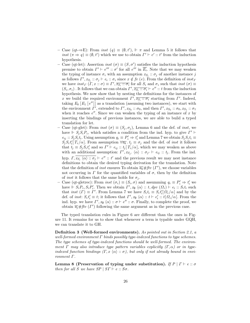- Case (qt-⇒E): From *inst* (*q*)  $\equiv$  (*ψ*, *t'*),  $\Vdash$  π and Lemma 5 it follows that inst  $(\pi \Rightarrow q) \equiv (\emptyset, t')$  which we use to obtain  $\Gamma' \vdash e' :: t'$  from the induction hypothesis.
- Case (qt-let): Assertion *inst* ( $\sigma$ )  $\equiv$  ( $S, \sigma'$ ) satisfies the induction hypothesis premise to obtain  $\Gamma' \vdash e''' :: \sigma'$  for all  $e'''$  in  $\overline{E_i}$ . Note that we may weaken the typing of instance  $\sigma_i$  with an assumption  $x_{S_j}$ :  $\sigma_j$  of another instance j as follows  $\Gamma', x_{S_j} :: \sigma_j \vdash e_i :: \sigma_i$  since  $x \notin fv$  (e). From the definition of  $inst_I$ we have  $inst_{\Gamma}(\Gamma, x:: \sigma) \equiv \Gamma', \overline{x_{S_i}:: \sigma_i}$  for all  $S_i$  and  $\sigma_i$  such that  $inst(\sigma) \equiv$  $(S_i, \sigma_i)$ . It follows that we can obtain  $\Gamma', \overline{x_{S_i} :: \sigma_i} \vdash e'': t$  from the induction hypothesis. We now show that by nesting the definitions for the instances of x we build the required environment  $\Gamma', \overline{x_{S_i} :: \sigma_i}$  starting from  $\Gamma'$ . Indeed, taking  $E_0$  [ $E_1$  [ $e''$ ]] as a translation (assuming two instances), we start with the environment  $\Gamma'$ , extended to  $\Gamma', x_{S_0} :: \sigma_0$ , and then  $\Gamma', x_{S_0} :: \sigma_0, x_{S_1} :: \sigma_1$ when it reaches  $e''$ . Since we can weaken the typing of an instance of x by inserting the bindings of previous instances, we are able to build a typed translation for let.
- Case (qt-glet): From *inst*  $(\sigma) \equiv (S_j, \sigma_j)$ , Lemma 6 and the def. of *inst*, we have  $\Vdash S_j S_i P_i$ , which satisfies a condition from the ind. hyp. to give  $\Gamma' \vdash$  $e_{ij}$ :  $S_j S_i t_i$ . Using assumption  $q_i \equiv P'_i \Rightarrow t'_i$  and Lemma 7 we obtain  $S_j S_i t_i \equiv$  $S_j S_i t'_i [T_i/\alpha]$ . From assumption  $\forall \overline{a_k} \cdot t_j \equiv \sigma_j$  and the def. of *inst* it follows that  $t_j \equiv S_j S_i t'_i$  and so  $\Gamma' \vdash e_{ij} :: t_j [T_i/\alpha]$ , which we may weaken as above with an additional assumption:  $\Gamma', x_{S_{j'}} \langle \alpha \rangle :: \sigma_{j'} \vdash e_{ij} :: t_j$ . From the ind. hyp.  $\Gamma$ ,  $\overline{x_{S_j} \langle \alpha \rangle :: \sigma_j} \vdash e'' :: t'$  and the previous result we may nest instance definitions to obtain the desired typing derivation for the translation. Note that the definition of *inst* ensures To obtain  $\overline{a_k}$  #ftv  $(\Gamma')$ , we choose variables not occurring in  $\Gamma$  for the quantified variables of  $\sigma$ , then by the definition of *inst* it follows that the same holds for  $\sigma_j$ .
- Case (qt-gletrec): From *inst*  $(\sigma_i) \equiv (S_i, \sigma)$  and assumming  $q_i \equiv P'_i \Rightarrow t'_i$  we have  $\Vdash S_i P_i$ ,  $S_i P'_i$ . Then we obtain  $\Gamma', x_{\emptyset} \langle \alpha \rangle :: t, dpv \ (\Omega_i) \vdash e_i :: S_i t_i$  such that *inst*  $(\Gamma) \equiv \Gamma'$ . From Lemma 7 we have  $S_i t_i \equiv S_i t'_i [\Omega_i/\alpha]$  and by the def. of *inst*:  $S_i t'_i \equiv t$ ; it follows that  $\Gamma', x_{\emptyset} \langle \alpha \rangle : t \vdash e'_i : t[\Omega_i/\alpha]$ . From the ind. hyp. we have  $\Gamma', x_{\emptyset} \langle \alpha \rangle :: \sigma \vdash e'': \sigma$ . Finally, to complete the proof, we obtain  $\overline{a_j}$  #ftv (Γ') following the same argument as in the previous case.

The typed translation rules in Figure 6 are different than the ones in Figure 11. It remains for us to show that whenever a term is typable under GQH, we can translate it to GH.

Definition 3 (Well-formed environments). As pointed out in Section 2.1, a well-formed environment  $\Gamma$  binds possibly type-indexed functions to type schemes. The type schemes of type-indexed functions should be well-formed. The environment  $\Gamma$  may also introduce type pattern variables explicitly  $(\Gamma, \alpha)$  or in typeindexed function bindings  $(\Gamma, x \langle \alpha \rangle : \sigma)$ , but only if not already bound in environment Γ.

Lemma 8 (Preservation of typing under substitution). If  $P | \Gamma \vdash e :: \sigma$ then for all S we have  $SP | ST \vdash e :: S\sigma$ .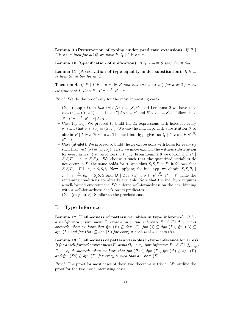Lemma 9 (Preservation of typing under predicate extension). If  $P$  |  $\Gamma \vdash e :: \sigma$  then for all Q we have  $P, Q \mid \Gamma \vdash e :: \sigma$ .

Lemma 10 (Specification of unification). If  $t_1 \sim t_2 \equiv S$  then  $St_1 \equiv St_2$ 

Lemma 11 (Preservation of type equality under substitution). If  $t_1 \equiv$  $t_2$  then  $St_1 \equiv St_2$  for all S.

**Theorem 4.** If  $P | I \vdash e :: \sigma, \Vdash P$  and inst  $(\sigma) \equiv (S, \sigma')$  for a well-formed environment  $\Gamma$  then  $P | \Gamma \vdash e \stackrel{S}{\leadsto} e' :: \sigma$ .

Proof. We do the proof only for the most interesting cases.

- Case (gapp): From *inst*  $(\sigma[A/\alpha]) \equiv (S, \sigma')$  and Lemmma 2 we have that inst  $(\sigma) \equiv (S', \sigma'')$  such that  $\sigma''[A/\alpha] \equiv \sigma'$  and  $S'[A/\alpha] \equiv S$ . It follows that  $P \mid \Gamma \vdash e \stackrel{S}{\leadsto} e' :: \sigma[A/\alpha].$
- Case (qt-let): We proceed to build the  $E_i$  expressions with holes for every  $\sigma'$  such that *inst* ( $\sigma$ )  $\equiv$  (*S*,  $\sigma'$ ). We use the ind. hyp. with substitution *S* to obtain  $P \mid \Gamma \vdash e \stackrel{S}{\leadsto} e^{\prime\prime\prime} :: \sigma$ . The next ind. hyp. gives us  $Q \mid \Gamma, x :: \sigma \vdash e' \stackrel{\emptyset}{\leadsto}$  $e'': t.$
- Case (qt-glet): We proceed to build the  $E_i$  expressions with holes for every  $\sigma_i$ such that *inst*  $(\sigma) \equiv (S_j, \sigma_j)$ . First, we make explicit the witness substitution for every arm  $\sigma \leqslant \sigma_i$  as follows:  $\sigma \leqslant_{S_i} \sigma_i$ . From Lemma 8 we obtain  $S_j S_i P_i$  $S_j S_i \Gamma \vdash e_i :: S_j S_i t_i$ . We choose  $\sigma$  such that the quantified variables do not occur in Γ, the same holds for  $\sigma_i$  and thus  $S_i S_i \Gamma \equiv \Gamma$ ; it follows that  $S_j S_i P_i \mid \Gamma \vdash e_i :: S_j S_i t_i$ . Now applying the ind. hyp. we obtain  $S_j S_i P_i$  $\Gamma \vdash e_i \stackrel{\emptyset}{\leadsto} e_{ij} :: S_j S_i t_i$  and  $Q \mid \Gamma, x \langle \alpha \rangle :: \sigma \vdash e' \stackrel{\emptyset}{\leadsto} e'' :: t'$  while the remaining conditions are already available. Note that the ind. hyp. requires a well-formed environment. We enforce well-formedness on the new binding with a well-formedness check on its predicates.
- Case (qt-gletrec): Similar to the previous case.

## B Type Inference

Lemma 12 (Definedness of pattern variables in type inference). If for a well-formed environment  $\Gamma$ , expression e, type inference  $P \mid S \Gamma \vdash^W e :: t; \Delta$ succeeds, then we have that fpv  $(P) \subseteq dpv$   $(\Gamma)$ , fpv  $(t) \subseteq dpv$   $(\Gamma)$ , fpv  $(\Delta) \subseteq$  $dpv(T)$  and  $fpv(Sa) \subseteq dpv(T)$  for every a such that  $a \in \text{dom}(S)$ .

Lemma 13 (Definedness of pattern variables in type inference for arms). If for a well-formed environment  $\Gamma$ , arms  $\overline{\Omega_i \to e_i}$ , type inference  $P \mid S$   $\Gamma \vdash^W_{Arms(x)}$  $\overline{\Omega_i \to e_i}; \Delta$  succeeds, then we have that  $fpv(P) \subseteq dpv(P)$ ,  $fpv(\Delta) \subseteq dpv(P)$ and fpv  $(Sa) \subseteq dpv$  (Γ) for every a such that  $a \in$  dom (S).

Proof. The proof for most cases of these two theorems is trivial. We outline the proof for the two most interesting cases.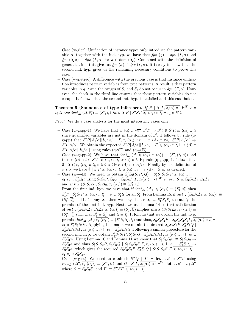- Case (w-glet): Unification of instance types only introduce the pattern variable  $\alpha$ , together with the ind. hyp. we have that  $fpv (q) \in dpv (r, \alpha)$  and fpv  $(S_2a) \in dpv$   $(\Gamma, \alpha)$  for  $a \in$  dom  $(S_2)$ . Combined with the definition of generalization, this gives us  $fpv(\sigma) \in dpv(T, \alpha)$ . It is easy to show that the second ind. hyp. gives us the remaining necessary conditions to prove this case.
- Case (w-gletrec): A difference with the previous case is that instance unification introduces pattern variables from type patterns. A result is that pattern variables in q, t and the ranges of  $S_2$  and  $S_3$  do not occur in dpv  $(\Gamma, \alpha)$ . However, the check in the third line ensures that those pattern variables do not escape. It follows that the second ind. hyp. is satisfied and this case holds.

Theorem 5 (Soundness of type inference). If  $P | S \rvert S \rvert T$ ,  $\overline{x_i \langle \alpha \rangle ::} \vdash^W e ::$  $t; \Delta \text{ and } inst_{\Delta}(\Delta, \overline{x_i}) \equiv (S', \overline{t_i}) \text{ then } S'P | S'SI, \overline{x_i \langle \alpha_i \rangle :: t_i} \vdash e_1 :: S't.$ 

Proof. We do a case analysis for the most interesting cases only:

- Case (w-gapp-1): We have that  $x \langle \alpha \rangle :: \forall \overline{a_i} . S'P \Rightarrow S't \in S'T, \overline{x_i \langle \alpha_i \rangle :: t_i}$ since quantified variables are not in the domain of  $S'$ , it follows by rule (qgapp) that  $S'P[A/\alpha][\overline{b_i}/\overline{a_i}] | \Gamma, \overline{x_i \langle \alpha_i \rangle :: t_i} \vdash x \langle A \rangle :: \forall \overline{a_i} . S'P[A/\alpha] \Rightarrow$  $S' t[A/\alpha]$ . We obtain the expected  $S' P[A/\alpha][\overline{b_i}/\overline{a_i}] | \Gamma, \overline{x_i \langle \alpha_i \rangle :: t_i} \vdash x \langle A \rangle ::$  $S' t[A/\alpha][\overline{b_i}/\overline{a_i}]$  using rules (q- $\forall E$ ) and (q- $\Rightarrow E$ ).
- Case (w-gapp-2): We have that  $inst_{\Delta}(\Delta; \overline{x_i \langle \alpha_i \rangle}, x \langle \alpha \rangle) \equiv (S', (\overline{t_i}, t))$  and thus  $x \langle \alpha \rangle :: t \in S'T, \overline{x_i \langle \alpha_i \rangle :: t_i}, x \langle \alpha \rangle :: t$ . By rule (q-gapp) it follows that  $\emptyset$  |  $S' \Gamma, \overline{x_i \langle \alpha_i \rangle :: t_i}, x \langle \alpha \rangle :: t \vdash x \langle A \rangle :: t[A/\alpha]$ . Finally by the definition of inst<sub>△</sub> we have  $\emptyset$  |  $S'T$ ,  $\overline{x_i \langle \alpha_i \rangle :: t_i}, x \langle \alpha \rangle :: t \vdash x \langle A \rangle :: S'a$ , as desired.
- Case (w-→E): We need to obtain  $S'_3S_3(S_2P, Q)$  |  $S'_3S_3S_2S_1T, x_i$   $\langle \alpha \rangle$  :: t<sub>i</sub> +  $e_1$   $e_2 :: S'_3S_3a$  using  $S_3S_2P, S_3Q \mid S_3S_2S_1 \cap \overline{x_i \langle \alpha_i \rangle ::} \vdots \vdots \vdots$   $\vdots W \mid e_1 \mid e_2 :: S_3a; S_3S_2\Delta_1, S_3\Delta_2$ and  $inst_{\Delta} (S_3 S_2 \Delta_1, S_3 \Delta_2; \overline{x_i (\alpha_i)}) \equiv (S'_3, \overline{t_i}).$ From the first ind. hyp. we have that if  $inst_{\Delta}(\Delta_1; \overline{x_i(\alpha_i)}) \equiv (S'_1, \overline{t'_i})$  then  $S'_1P \mid S'_1S_1\Gamma, \overline{x_i \langle \alpha_i \rangle :: t'_i} \vdash e_1 :: S'_1t_1 \text{ for all } S'_1. \text{ From Lemma 15, if } inst_{\Delta}(S_3S_2\Delta_1; \overline{x_i \langle \alpha_i \rangle}) \equiv$  $(S''_1, \overline{t'_i})$  holds for any  $S''_1$  then we may choose  $S'_1 \equiv S''_1 S_3 S_2$  to satisfy the premise of the first ind. hyp. Next, we use Lemma 14 so that satisfaction of  $ins_{\Delta}$   $(S_3S_2\Delta_1, S_3\Delta_2; \overline{x_i(\alpha_i)}) \equiv (S'_3, \overline{t_i})$  implies  $inst_{\Delta}$   $(S_3S_2\Delta_1; \overline{x_i(\alpha_i)}) \equiv$  $(S''_1, \overline{t'_i})$  such that  $S'_3 \equiv S''_1$  and  $\overline{t_i \equiv t'_i}$ . It follows that we obtain the ind. hyp. premise  $inst_{\Delta}(\Delta_1; \overline{x_i(\alpha_i)}) \equiv (S_3'S_3S_2, \overline{t_i})$  and thus,  $S_3'S_3S_2P | S_3'S_3S_2S_1\Gamma, \overline{x_i(\alpha_i)} :: t_i \vdash$  $e_1$ :  $S'_3S_3S_2t_1$ . Applying Lemma 9, we obtain the desired  $S'_3S_3S_2P, S'_3S_3Q$  $S'_3S_3S_2S_1\Gamma, \overline{x_i\langle \alpha_i \rangle :: t_i} \vdash e_1 :: S'_3S_3S_2t_1.$  Following a similar procedure for the second ind. hyp. we obtain  $S'_3S_3S_2P$ ,  $S'_3S_3Q \mid S'_3S_3S_2S_1I$ ,  $\overline{x_i \langle \alpha_i \rangle :: t_i} \vdash e_2 ::$  $S'_3S_3t_2$ . Using Lemma 10 and Lemma 11 we know that  $S'_3S_3S_2t_1 \equiv S'_3S_3t_2 \rightarrow$  $S_3'S_3a$  and thus  $S_3'S_3S_2P, S_3'S_3Q | S_3'S_3S_2S_1T, \overline{x_i \langle \alpha_i \rangle :: t_i} \vdash e_1 :: S_3'S_3t_2 \rightarrow$  $S'_3S_3a$ ; which gives the required  $S'_3S_3S_2P$ ,  $S'_3S_3Q$  |  $S'_3S_3S_2S_1\Gamma$ ,  $\overline{x_i\langle\alpha_i\rangle::t_i}\vdash$  $e_1 \ e_2 :: S_3'S_3 a.$
- Case (w-glet): We need to establish  $S''Q$  |  $\Gamma' \vdash$  let ...  $e' :: S''t'$  using  $inst_\Delta\left(\Delta'', \overline{x_j\langle\alpha_j\rangle}\right) \equiv (S'', \overline{t_j}) \text{ and } Q \mid S \mid \overline{S}, \overline{x_j\langle\alpha_j\rangle::\cdot} \vdash^W \textbf{let} \dots e' :: t'; \Delta''$ where  $S \equiv S_3 S_2 S_1$  and  $\Gamma' \equiv S'' S \Gamma, \overline{x_j \langle \alpha_j \rangle :: t_j}$ .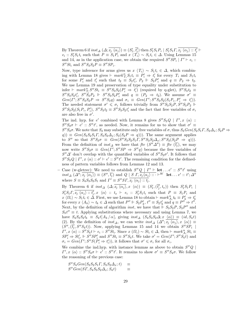By Theorem 6 if  $inst_{\Delta}(\Delta; \overline{x_j \langle \alpha_j \rangle}) \equiv (S'_1, \overline{t'_j})$  then  $S'_1 S_1 P_i | S'_1 S_1 I, \overline{x_j \langle \alpha_j \rangle} :: t'_j \vdash$  $e_i$ ::  $S'_1 S_1 t_i$  such that  $P \equiv S_1 P_i$  and  $x \langle T'_i \rangle \sim S_1 t_i \in \Delta$ . Using Lemmas 15 and 14, as in the application case, we obtain the required  $S''SP_i | \Gamma' \vdash e_i$ :  $S''St_i$  and  $S''S_3S_2P \equiv S''SP_i$ .

Now, type inference for arms gives us  $x \langle T_i \rangle \sim S_1 t_i \in \Delta$ , which combining with Lemma 18 gives  $\vdash mark^{\alpha}_{T_i} S_1 t_i \equiv P'_i \Rightarrow t'_i$  for every  $T_i$  and  $S_1 t_i$ for some  $P'_i$  and  $t'_i$  such that  $t_2 \equiv S_2 t'_i$ ,  $P_2 \Vdash S_2 P'_i$  and  $q \equiv P_2 \Rightarrow t_2$ . We use Lemma 19 and preservation of type equality under substitution to infer  $\vdash mark_{T_i}^{\alpha}S''St_i \equiv S''S_3S_2(P'_i \Rightarrow t'_i)$  (required by q-glet),  $S''S_3t_2 \equiv$  $S''S_3S_2t'_i$ ,  $S''S_3P_2 \Vdash S''S_3S_2P'_i$  and  $q \equiv (P_2 \Rightarrow t_2)$ . We assume  $\sigma' \equiv$  $Gen(\Gamma'; S''S_3S_2P \Rightarrow S''S_3q)$  and  $\sigma_i \equiv Gen(\Gamma'; S''S_3S_2(S_1P_i, P'_i \Rightarrow t'_i)).$ The needed statement  $\sigma' \leq \sigma_i$  follows trivially from  $S''S_3S_2P, S''S_3P_2$  $S''S_3S_2(S_1P_i, P'_i), S''S_3t_2 \equiv S''S_3S_2t'_i$  and the fact that free variables of  $\sigma_i$ are also free in  $\sigma'$ .

The ind. hyp. for e' combined with Lemma 8 gives  $S''S_3Q \mid \Gamma', x \langle \alpha \rangle$ :  $S''S_3\sigma \vdash e' :: S''t'$ , as needed. Now, it remains for us to show that  $\sigma' \equiv$  $S''S_3\sigma$ . We note that  $S_3$  may substitute only free variables of  $\sigma$ , thus  $S_3Gen(S_2S_1T, S_2\Delta_x; S_2P \Rightarrow S_3S_2T_S, S_3P_S, S_3P_S, S_3P_S, S_3P_S, S_3P_S, S_3P_S, S_3P_S, S_3P_S, S_3P_S, S_3P_S, S_3P_S, S_3P_S, S_3P_S, S_3P_S, S_3P_S, S_3P_S, S_3P_S, S_3P_S$  $q() \equiv Gen(S_3S_2S_1T, S_3S_2\Delta_x; S_3(S_2P \Rightarrow q))$ . The same argument applies to S'' so that  $S''S_3\sigma \equiv Gen(S''S_3S_2S_1\Gamma, S''S_3S_2\Delta_x; S''S_3(S_2P \Rightarrow q))$ . From the definition of  $inst_{\Delta}$  we have that  $ftv(S''\Delta'') \equiv ftv(\overline{t_j})$ , we may now write  $S''S_3\sigma \equiv Gen(\Gamma'; S''SP \Rightarrow S''q)$  because the free variables of  $S''\Delta'$  don't overlap with the quantified variables of  $S''S_3\sigma'$ . It follows that  $S''S_3Q \mid \Gamma', x \langle \alpha \rangle :: \sigma' \vdash e' :: S''t'.$  The remaining condition for the definedness of pattern variables follows from Lemmas 12 and 13.

- Case (w-gletrec): We need to establish  $S''Q$  |  $\Gamma' \vdash$  let ...  $e' :: S''t'$  using  $inst_{\Delta}(\Delta'',\overline{x_i\langle \alpha_j\rangle}) \equiv (S'',\overline{t_j})$  and  $Q \mid S \mid \overline{S} \mid \overline{x_j\langle \alpha_j\rangle \cdots} \vdash^W \textbf{let} \ldots e' :: t';\Delta''$ where  $S \equiv S_4 S_3 S_2 S_1$  and  $\Gamma' \equiv S'' S \Gamma, \overline{x_j \langle \alpha_j \rangle :: t_j}$ .

By Theorem 6 if  $inst_{\Delta}(\Delta; \overline{x_j \langle \alpha_j \rangle}, x \langle \alpha \rangle) \equiv (S'_1, (\overline{t'_j}, t_x))$  then  $S'_1 S_1 P_i$  $S'_1S_1\Gamma, \overline{x_j \langle \alpha_j \rangle :: t'_j}, x \langle \alpha \rangle :: t_x \vdash e_i :: S'_1S_1t_i \text{ such that } P \equiv S_1P_i \text{ and }$  $x \langle \Omega_i \rangle \sim S_1 t_i \in \mathring{\Delta}$ . First, we use Lemma 18 to obtain  $\vdash mark_{A_i}^{\alpha} t_k \equiv P'_k \Rightarrow t'_k$ for every  $x \langle A_k \rangle \sim t_k \in \Delta$  such that  $P'' \Vdash S_2 P'_k$ ,  $t'' \equiv S_2 t'_k$  and  $q \equiv P'' \Rightarrow t''$ . Next, by the definition of algorithm *inst*, we have that  $\mathbb{I}^{\mathsf{c}} S_3 S_2 P$ ,  $S_3 P''$  and  $S_3 t'' \equiv t$ . Applying substitutions where necessary and using Lemma 7, we have  $S_4S_3S_2t_k \equiv S_4t[A_k/\alpha]$ , giving  $inst_{\Delta}$   $(S_4S_3S_2\Delta; x \langle \alpha \rangle) \equiv (id, S_4t)$ (2). By the definition of  $inst_{\Delta}$ , we can write  $inst_{\Delta}$   $(\Delta''; x_j \langle \alpha_j \rangle, x \langle \alpha \rangle) \equiv$  $(S'',(\overline{t_j},S''S_4t))$ . Now, applying Lemmas 15 and 14 we obtain  $S''SP_i$  $\Gamma', x \overline{\langle \alpha \rangle} :: S'' S_4 t \vdash e_i :: S'' S t_i.$  Since  $x \overline{\langle \Omega_i \rangle} \sim St_i \in \Delta$ , then  $\vdash mark_{A_i}^{\alpha} St_i \equiv$  $SP'_i \Rightarrow St'_i$ ,  $\Vdash S''SP'_i$  and  $S''St_i \equiv S''S_4t$ . We take  $\sigma' = Gen(\Gamma'; S''S_4t)$  and  $\sigma_i = Gen(\Gamma'; S''S(\overrightarrow{P'_i} \Rightarrow t'_i)),$  it follows that  $\sigma' \leq \sigma_i$  for all  $\sigma_i$ .

We combine the ind.hyp. with instance lemmas as above to obtain  $S''Q$  $\Gamma', x \langle \alpha \rangle :: S''S_4\sigma \vdash e' :: S''t'.$  It remains to show  $\sigma' \equiv S''S_4\sigma.$  We follow the reasoning of the previous case:

$$
S''S_4Gen(S_3S_2S_1T, S_3S_2\Delta_x; t) \equiv
$$
  

$$
S''Gen(ST, S_4S_3S_2\Delta_x; S_4t) \equiv
$$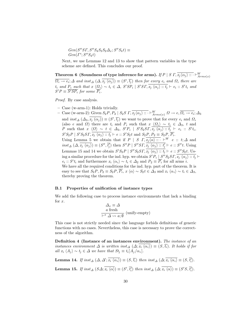$Gen(S''ST, S''S_4S_3S_2\Delta_x; S''S_4t) \equiv$  $Gen(\Gamma'; S''S_4t)$ 

Next, we use Lemmas 12 and 13 to show that pattern variables in the type scheme are defined. This concludes our proof.

Theorem 6 (Soundness of type inference for arms). If  $P \mid S \: I, \overline{x_j \langle \alpha_j \rangle :: \cdot} \vdash^W_{Arms(x)}$ 

 $\overline{\Omega_i \to e_i}; \Delta$  and inst $\Delta (\Delta, \overline{x_j \langle \alpha_j \rangle}) \equiv (S', \overline{t_j})$  then for every  $e_i$  and  $\Omega_i$  there are  $t_i$  and  $P_i$  such that  $x \langle \Omega_i \rangle \sim t_i \in \Delta$ ,  $S'SP_i | S'ST, \overline{x_j \langle \alpha_j \rangle :: t_j} \vdash e_i :: S't_i$  and  $S'P \equiv \overline{S'SP_i}$  for some  $\overline{P_i}$ .

Proof. By case analysis.

– Case (w-arm-1): Holds trivially.

- Case (w-arm-2): Given  $S_2P, P_2 \mid S_2S \rvert T, \overline{x_j \langle \alpha_j \rangle :: \cdot} \vdash^W_{Arms(x)} \Omega \to e, \overline{\Omega_i \to e_i}; \Delta_3$ and  $inst_{\Delta}(\Delta_3,\overline{x_j(\alpha_j)}) \equiv (S',\overline{t_j})$  we want to prove that for every  $e_i$  and  $\Omega_i$ (also e and  $\Omega$ ) there are  $t_i$  and  $P_i$  such that  $x \langle \Omega_i \rangle \sim t_i \in \Delta_3$ , t and P such that  $x \langle \Omega \rangle \sim t \in \Delta_3$ ,  $S'P_i | S'S_2ST, \overline{x_j \langle \alpha_j \rangle :: t_j} \vdash e_i :: S't_i$ ,  $S'S_2P \mid S'S_2ST, \overline{x_j \langle \alpha_j \rangle :: t_j} \vdash e :: S'S_2t \text{ and } S_2P, P_2 \equiv S_2P, \overline{P_i}.$ Using Lemma 5 we obtain that if  $P | S \rvert T, \overline{x_i \langle \alpha \rangle ::} \vdots \vdots \vdots$   $e \rvert W \rvert e :: t; \Delta$  and  $inst_{\Delta}(\Delta,\overline{x_j\langle\alpha_j\rangle}) \equiv (S'',\overline{t'_j})$  then  $S''P \mid S''ST, \overline{x_j\langle\alpha_j\rangle::t'_j} \vdash e::S''t$ . Using Lemmas 15 and 14 we obtain  $S'S_2P | S''S_2ST, \overline{x_j \langle \alpha_j \rangle :: t_j} \vdash e :: S''S_2t$ . Using a similar procedure for the ind. hyp. we obtain  $S'P_i \mid S''S_2ST, \overline{x_j}\langle \alpha_j \rangle :: t_j \vdash$  $e_i$ :: S't<sub>i</sub> and furthermore  $x_i \langle \alpha_i \rangle \sim t_i \in \Delta_2$  and  $P_2 \equiv \overline{P_i}$  for all arms *i*. We have all the required conditions for the ind. hyp. part of the theorem. It is easy to see that  $S_2P, P_2 \equiv S_2P, \overline{P_i}, x \langle \alpha \rangle \sim S_2t \in \Delta_3$  and  $x_i \langle \alpha_i \rangle \sim t_i \in \Delta_3$ , thereby proving the theorem.

#### B.1 Properties of unification of instance types

We add the following case to process instance environments that lack a binding for  $x$ .

$$
\Delta_x \equiv \Delta
$$
  
a fresh  

$$
\frac{a \text{ fresh}}{\vdash^x \Delta \leadsto a; \emptyset} \text{ (unify-empty)}
$$

This case is not strictly needed since the language forbids definitions of generic functions with no cases. Nevertheless, this case is necessary to prove the correctness of the algorithm.

Definition 4 (Instance of an instances environment). The instance of an instances environment  $\Delta$  is written inst<sub> $\Delta$ </sub>  $(\Delta; x_i \langle \alpha_i \rangle) \equiv (S, \overline{t_i})$ . It holds if for all  $x_i \langle A_j \rangle \sim t_j \in \Delta$  we have that  $St_j \equiv t_i[A_j/\alpha_i].$ 

**Lemma 14.** If inst<sub> $\Delta$ </sub>  $(\Delta, \Delta'; \overline{x_i \langle \alpha_i \rangle}) \equiv (S, \overline{t_i})$  then inst<sub> $\Delta$ </sub>  $(\Delta; \overline{x_i \langle \alpha_i \rangle}) \equiv (S, \overline{t_i'})$ .

**Lemma 15.** If  $\text{inst}_{\Delta} (S \Delta; \overline{x_i \langle \alpha \rangle}) \equiv (S', \overline{t'_i}) \text{ then } \text{inst}_{\Delta} (\Delta; \overline{x_i \langle \alpha \rangle}) \equiv (S'S, \overline{t'_i}).$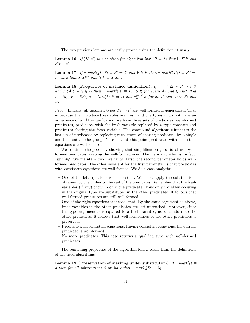The two previous lemmas are easily proved using the definition of  $inst_{\Delta}$ .

**Lemma 16.** If  $(S', t')$  is a solution for algorithm inst  $(P \Rightarrow t)$  then  $\Vdash S'P$  and  $S' t \equiv t'.$ 

**Lemma 17.** If  $\vdash mark_A^{\alpha} \Gamma; St \equiv P' \Rightarrow t'$  and  $\Vdash S'P$  then  $\vdash mark_A^{\alpha} \Gamma; t \equiv P'' \Rightarrow$  $t''$  such that  $S'SP''$  and  $S't' \equiv S'St''$ .

Lemma 18 (Properties of instance unification).  $\textit{If} \vdash^x \langle \alpha \rangle \varDelta \leadsto P \Rightarrow t; S$ and  $x \langle A_i \rangle \sim t_i \in \Delta$  then  $\vdash mark_{A_i}^{\alpha} t_i \equiv P_i \Rightarrow t_i'$  for every  $A_i$  and  $t_i$  such that  $t \equiv St'_{i}, P \equiv SP_{i}, \sigma \equiv Gen(\Gamma; P \Rightarrow t)$  and  $\vdash^{pred}_{\alpha} \sigma$  for all  $\Gamma$  and some  $\overline{P_{i}}$  and  $\overline{t_i}$ .

*Proof.* Initially, all qualified types  $P_i \Rightarrow t'_i$  are well formed if generalized. That is because the introduced variables are fresh and the types  $t_i$  do not have an occurrence of  $\alpha$ . After unification, we have three sets of predicates, well-formed predicates, predicates with the fresh variable replaced by a type constant and predicates sharing the fresh variable. The compound algorithm eliminates the last set of predicates by replacing each group of sharing predicates by a single one that entails the group. Note that at this point predicates with consistent equations are well-formed.

We continue the proof by showing that simplification gets rid of non-wellformed predicates, keeping the well-formed ones. The main algorithm is, in fact, simplify'. We maintain two invariants. First, the second parameter holds wellformed predicates. The other invariant for the first parameter is that predicates with consistent equations are well-formed. We do a case analysis:

- One of the left equations is inconsistent. We must apply the substitutions obtained by the unifier to the rest of the predicates. Remember that the fresh variables (if any) occur in only one predicate. Thus only variables occuring in the original type are substituted in the other predicates. It follows that well-formed predicates are still well-formed.
- One of the right equations is inconsistent. By the same argument as above, fresh variables in the other predicates are left untouched. Moreover, since the type argument  $\alpha$  is equated to a fresh variable, no  $\alpha$  is added to the other predicates. It follows that well-formedness of the other predicates is preserved.
- Predicate with consistent equations. Having consistent equations, the current predicate is well-formed.
- No more predicates. This case returns a qualified type with well-formed predicates.

The remaining properties of the algorithm follow easily from the definitions of the used algorithms.

Lemma 19 (Preservation of marking under substitution). If  $\vdash mark^{\alpha}_At \equiv$ q then for all substitutions S we have that  $\vdash mark_A^{\alpha}St \equiv Sq$ .